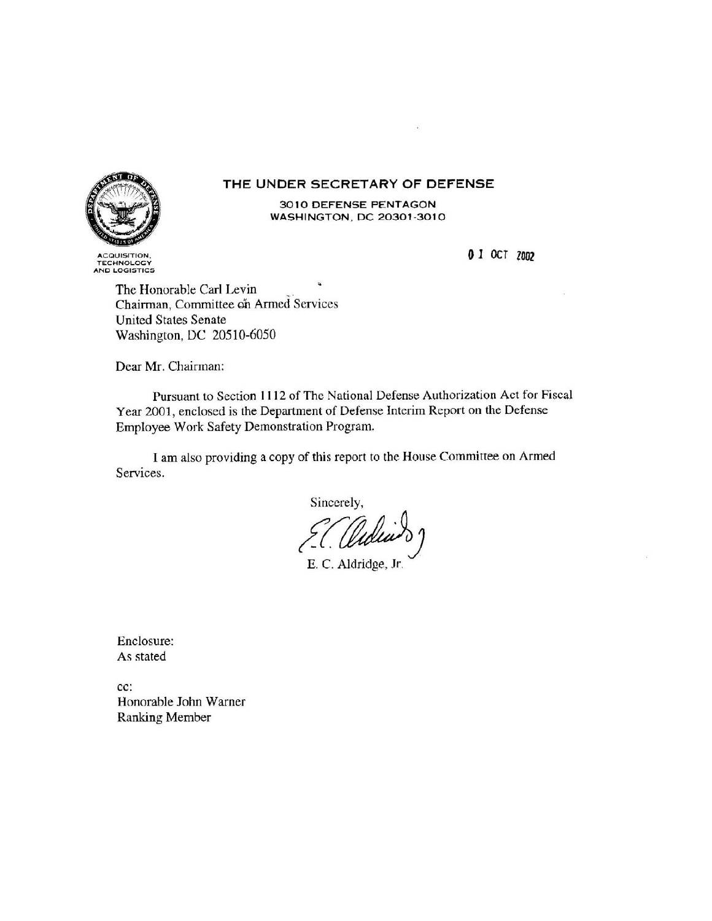#### THE UNDER SECRETARY OF DEFENSE



**TECHNOLOGY** AND LOGISTICS

3010 DEFENSE PENTAGON WASHINGTON, DC 20301-3010

0 1 OCT 2002

The Honorable Carl Levin Chairman, Committee on Armed Services **United States Senate** Washington, DC 20510-6050

Dear Mr. Chairman:

Pursuant to Section 1112 of The National Defense Authorization Act for Fiscal Year 2001, enclosed is the Department of Defense Interim Report on the Defense Employee Work Safety Demonstration Program.

I am also providing a copy of this report to the House Committee on Armed Services.

Sincerely, 7.C. Uu

E. C. Aldridge, Jr.

Enclosure: As stated

cc: Honorable John Warner Ranking Member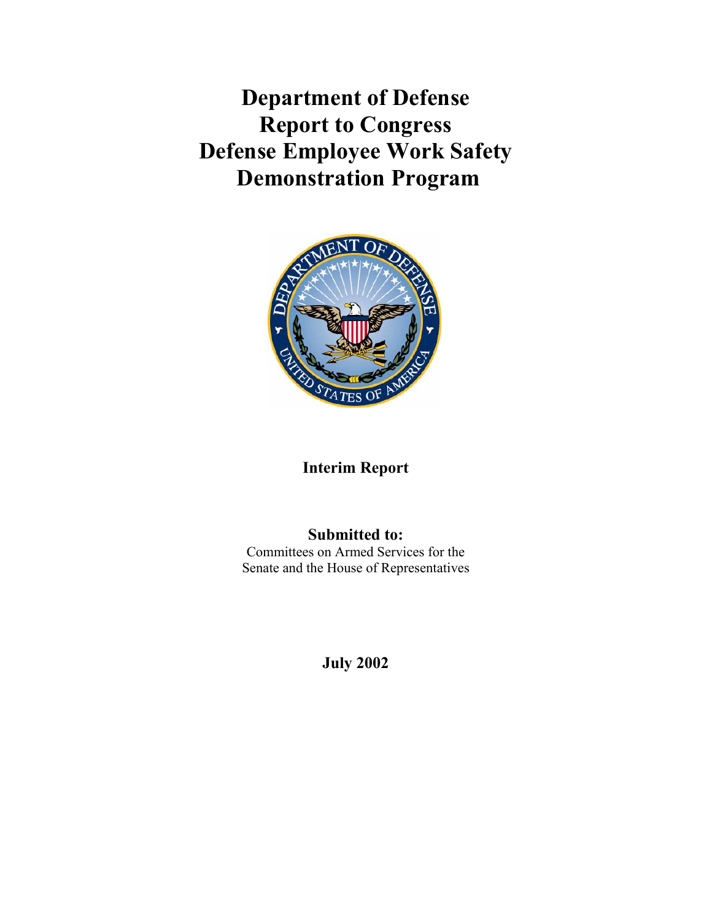**Department of Defense Report to Congress Defense Employee Work Safety Demonstration Program** 



# **Interim Report**

# **Submitted to:**

Committees on Armed Services for the Senate and the House of Representatives

**July 2002**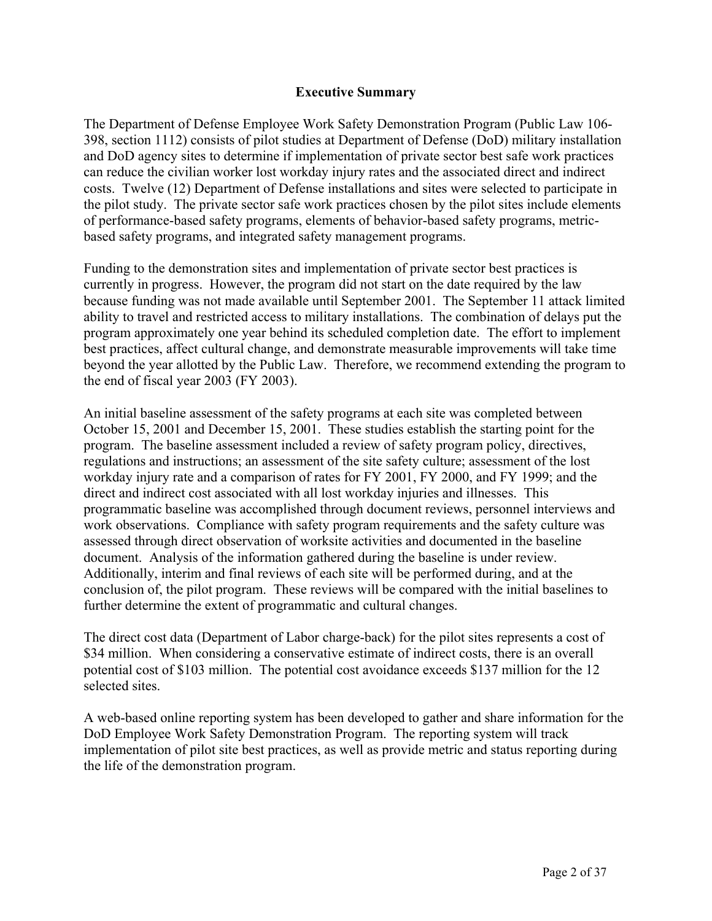#### **Executive Summary**

The Department of Defense Employee Work Safety Demonstration Program (Public Law 106- 398, section 1112) consists of pilot studies at Department of Defense (DoD) military installation and DoD agency sites to determine if implementation of private sector best safe work practices can reduce the civilian worker lost workday injury rates and the associated direct and indirect costs. Twelve (12) Department of Defense installations and sites were selected to participate in the pilot study. The private sector safe work practices chosen by the pilot sites include elements of performance-based safety programs, elements of behavior-based safety programs, metricbased safety programs, and integrated safety management programs.

Funding to the demonstration sites and implementation of private sector best practices is currently in progress. However, the program did not start on the date required by the law because funding was not made available until September 2001. The September 11 attack limited ability to travel and restricted access to military installations. The combination of delays put the program approximately one year behind its scheduled completion date. The effort to implement best practices, affect cultural change, and demonstrate measurable improvements will take time beyond the year allotted by the Public Law. Therefore, we recommend extending the program to the end of fiscal year 2003 (FY 2003).

An initial baseline assessment of the safety programs at each site was completed between October 15, 2001 and December 15, 2001. These studies establish the starting point for the program. The baseline assessment included a review of safety program policy, directives, regulations and instructions; an assessment of the site safety culture; assessment of the lost workday injury rate and a comparison of rates for FY 2001, FY 2000, and FY 1999; and the direct and indirect cost associated with all lost workday injuries and illnesses. This programmatic baseline was accomplished through document reviews, personnel interviews and work observations. Compliance with safety program requirements and the safety culture was assessed through direct observation of worksite activities and documented in the baseline document. Analysis of the information gathered during the baseline is under review. Additionally, interim and final reviews of each site will be performed during, and at the conclusion of, the pilot program. These reviews will be compared with the initial baselines to further determine the extent of programmatic and cultural changes.

The direct cost data (Department of Labor charge-back) for the pilot sites represents a cost of \$34 million. When considering a conservative estimate of indirect costs, there is an overall potential cost of \$103 million. The potential cost avoidance exceeds \$137 million for the 12 selected sites.

A web-based online reporting system has been developed to gather and share information for the DoD Employee Work Safety Demonstration Program. The reporting system will track implementation of pilot site best practices, as well as provide metric and status reporting during the life of the demonstration program.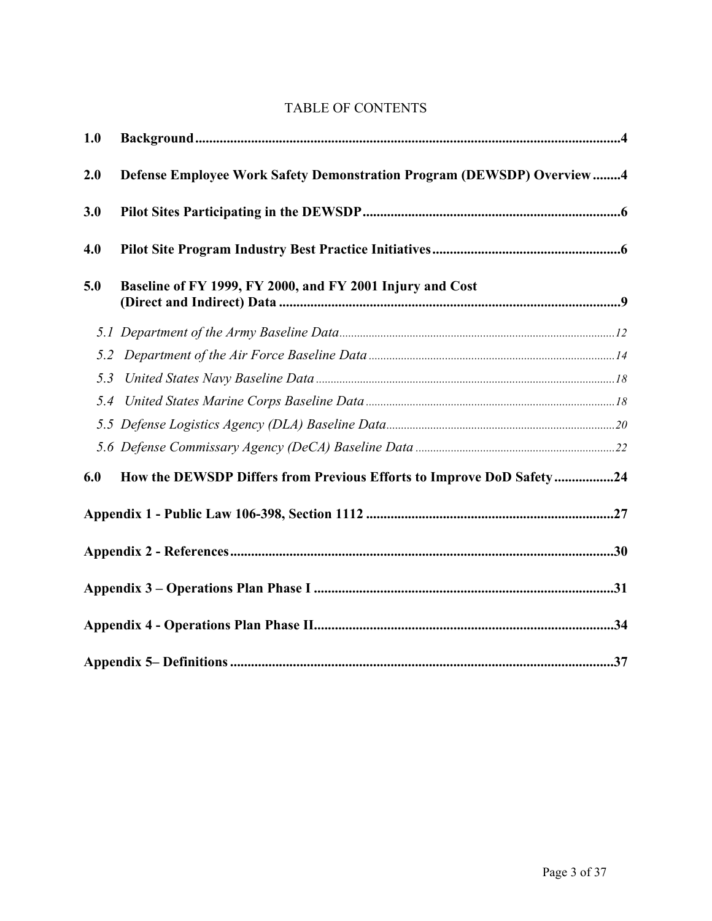## TABLE OF CONTENTS

| 1.0 |                                                                       |  |
|-----|-----------------------------------------------------------------------|--|
| 2.0 | Defense Employee Work Safety Demonstration Program (DEWSDP) Overview4 |  |
| 3.0 |                                                                       |  |
| 4.0 |                                                                       |  |
| 5.0 | Baseline of FY 1999, FY 2000, and FY 2001 Injury and Cost             |  |
|     |                                                                       |  |
| 5.2 |                                                                       |  |
| 5.3 |                                                                       |  |
| 5.4 |                                                                       |  |
|     |                                                                       |  |
|     |                                                                       |  |
| 6.0 | How the DEWSDP Differs from Previous Efforts to Improve DoD Safety24  |  |
|     |                                                                       |  |
|     |                                                                       |  |
|     |                                                                       |  |
|     |                                                                       |  |
|     |                                                                       |  |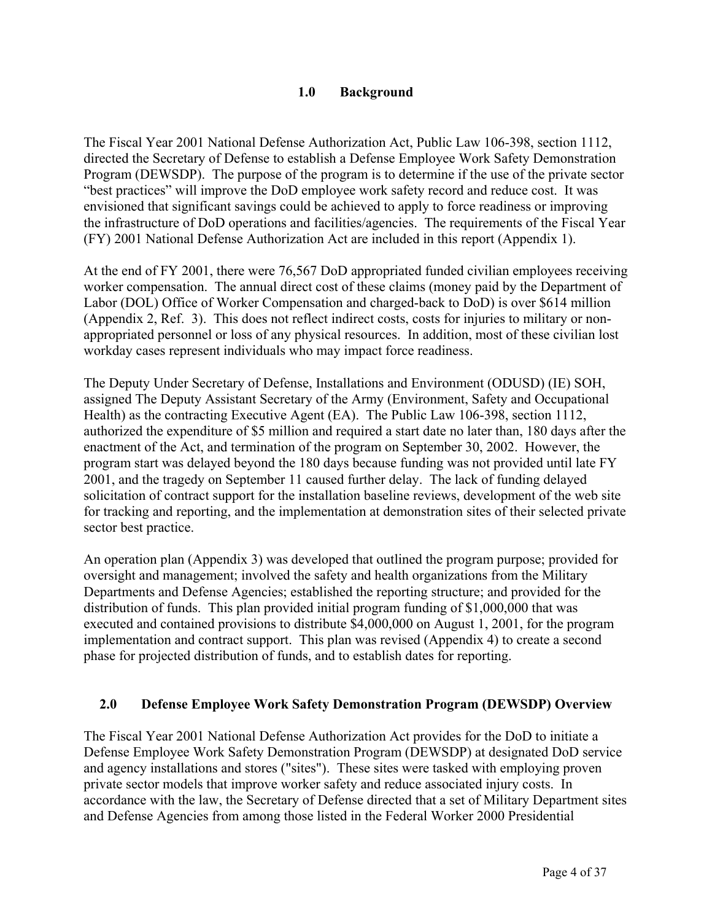### **1.0 Background**

The Fiscal Year 2001 National Defense Authorization Act, Public Law 106-398, section 1112, directed the Secretary of Defense to establish a Defense Employee Work Safety Demonstration Program (DEWSDP). The purpose of the program is to determine if the use of the private sector "best practices" will improve the DoD employee work safety record and reduce cost. It was envisioned that significant savings could be achieved to apply to force readiness or improving the infrastructure of DoD operations and facilities/agencies. The requirements of the Fiscal Year (FY) 2001 National Defense Authorization Act are included in this report (Appendix 1).

At the end of FY 2001, there were 76,567 DoD appropriated funded civilian employees receiving worker compensation. The annual direct cost of these claims (money paid by the Department of Labor (DOL) Office of Worker Compensation and charged-back to DoD) is over \$614 million (Appendix 2, Ref. 3). This does not reflect indirect costs, costs for injuries to military or nonappropriated personnel or loss of any physical resources. In addition, most of these civilian lost workday cases represent individuals who may impact force readiness.

The Deputy Under Secretary of Defense, Installations and Environment (ODUSD) (IE) SOH, assigned The Deputy Assistant Secretary of the Army (Environment, Safety and Occupational Health) as the contracting Executive Agent (EA). The Public Law 106-398, section 1112, authorized the expenditure of \$5 million and required a start date no later than, 180 days after the enactment of the Act, and termination of the program on September 30, 2002. However, the program start was delayed beyond the 180 days because funding was not provided until late FY 2001, and the tragedy on September 11 caused further delay. The lack of funding delayed solicitation of contract support for the installation baseline reviews, development of the web site for tracking and reporting, and the implementation at demonstration sites of their selected private sector best practice.

An operation plan (Appendix 3) was developed that outlined the program purpose; provided for oversight and management; involved the safety and health organizations from the Military Departments and Defense Agencies; established the reporting structure; and provided for the distribution of funds. This plan provided initial program funding of \$1,000,000 that was executed and contained provisions to distribute \$4,000,000 on August 1, 2001, for the program implementation and contract support. This plan was revised (Appendix 4) to create a second phase for projected distribution of funds, and to establish dates for reporting.

## **2.0 Defense Employee Work Safety Demonstration Program (DEWSDP) Overview**

The Fiscal Year 2001 National Defense Authorization Act provides for the DoD to initiate a Defense Employee Work Safety Demonstration Program (DEWSDP) at designated DoD service and agency installations and stores ("sites"). These sites were tasked with employing proven private sector models that improve worker safety and reduce associated injury costs. In accordance with the law, the Secretary of Defense directed that a set of Military Department sites and Defense Agencies from among those listed in the Federal Worker 2000 Presidential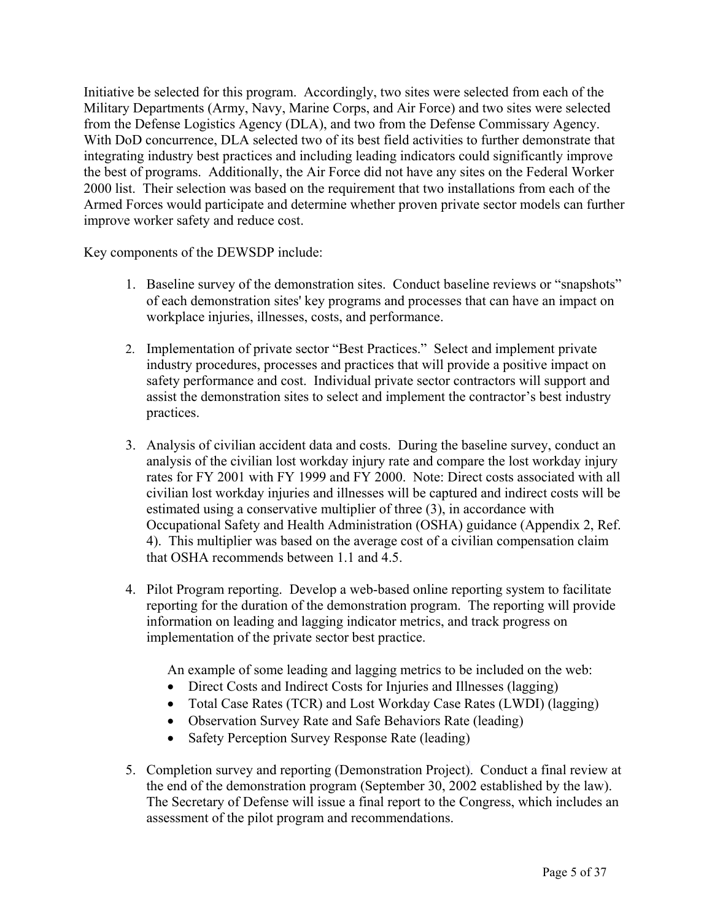Initiative be selected for this program. Accordingly, two sites were selected from each of the Military Departments (Army, Navy, Marine Corps, and Air Force) and two sites were selected from the Defense Logistics Agency (DLA), and two from the Defense Commissary Agency. With DoD concurrence, DLA selected two of its best field activities to further demonstrate that integrating industry best practices and including leading indicators could significantly improve the best of programs. Additionally, the Air Force did not have any sites on the Federal Worker 2000 list. Their selection was based on the requirement that two installations from each of the Armed Forces would participate and determine whether proven private sector models can further improve worker safety and reduce cost.

Key components of the DEWSDP include:

- 1. Baseline survey of the demonstration sites. Conduct baseline reviews or "snapshots" of each demonstration sites' key programs and processes that can have an impact on workplace injuries, illnesses, costs, and performance.
- 2. Implementation of private sector "Best Practices." Select and implement private industry procedures, processes and practices that will provide a positive impact on safety performance and cost. Individual private sector contractors will support and assist the demonstration sites to select and implement the contractor's best industry practices.
- 3. Analysis of civilian accident data and costs. During the baseline survey, conduct an analysis of the civilian lost workday injury rate and compare the lost workday injury rates for FY 2001 with FY 1999 and FY 2000. Note: Direct costs associated with all civilian lost workday injuries and illnesses will be captured and indirect costs will be estimated using a conservative multiplier of three (3), in accordance with Occupational Safety and Health Administration (OSHA) guidance (Appendix 2, Ref. 4). This multiplier was based on the average cost of a civilian compensation claim that OSHA recommends between 1.1 and 4.5.
- 4. Pilot Program reporting. Develop a web-based online reporting system to facilitate reporting for the duration of the demonstration program. The reporting will provide information on leading and lagging indicator metrics, and track progress on implementation of the private sector best practice.

An example of some leading and lagging metrics to be included on the web:

- Direct Costs and Indirect Costs for Injuries and Illnesses (lagging)
- Total Case Rates (TCR) and Lost Workday Case Rates (LWDI) (lagging)
- Observation Survey Rate and Safe Behaviors Rate (leading)
- Safety Perception Survey Response Rate (leading)
- 5. Completion survey and reporting (Demonstration Project). Conduct a final review at the end of the demonstration program (September 30, 2002 established by the law). The Secretary of Defense will issue a final report to the Congress, which includes an assessment of the pilot program and recommendations.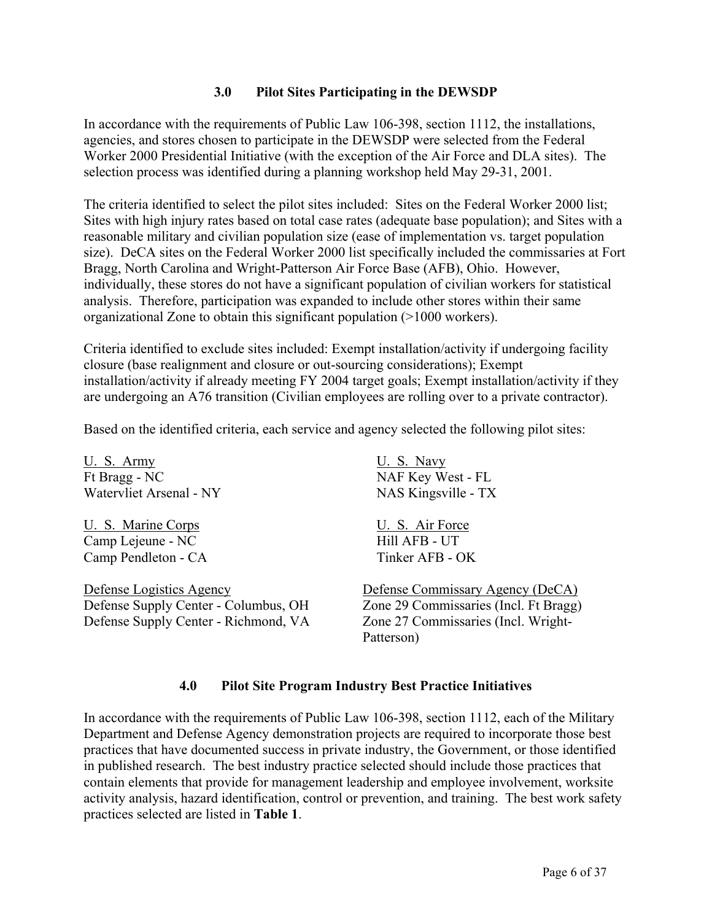### **3.0 Pilot Sites Participating in the DEWSDP**

In accordance with the requirements of Public Law 106-398, section 1112, the installations, agencies, and stores chosen to participate in the DEWSDP were selected from the Federal Worker 2000 Presidential Initiative (with the exception of the Air Force and DLA sites). The selection process was identified during a planning workshop held May 29-31, 2001.

The criteria identified to select the pilot sites included: Sites on the Federal Worker 2000 list; Sites with high injury rates based on total case rates (adequate base population); and Sites with a reasonable military and civilian population size (ease of implementation vs. target population size). DeCA sites on the Federal Worker 2000 list specifically included the commissaries at Fort Bragg, North Carolina and Wright-Patterson Air Force Base (AFB), Ohio. However, individually, these stores do not have a significant population of civilian workers for statistical analysis. Therefore, participation was expanded to include other stores within their same organizational Zone to obtain this significant population (>1000 workers).

Criteria identified to exclude sites included: Exempt installation/activity if undergoing facility closure (base realignment and closure or out-sourcing considerations); Exempt installation/activity if already meeting FY 2004 target goals; Exempt installation/activity if they are undergoing an A76 transition (Civilian employees are rolling over to a private contractor).

Based on the identified criteria, each service and agency selected the following pilot sites:

U. S. Army U. S. Navy Ft Bragg - NC NAF Key West - FL Watervliet Arsenal - NY NAS Kingsville - TX

U. S. Marine Corps U. S. Air Force Camp Lejeune - NC Hill AFB - UT Camp Pendleton - CA Tinker AFB - OK

Defense Logistics Agency Defense Commissary Agency (DeCA) Defense Supply Center - Columbus, OH Zone 29 Commissaries (Incl. Ft Bragg) Defense Supply Center - Richmond, VA Zone 27 Commissaries (Incl. Wright-

Patterson)

#### **4.0 Pilot Site Program Industry Best Practice Initiatives**

In accordance with the requirements of Public Law 106-398, section 1112, each of the Military Department and Defense Agency demonstration projects are required to incorporate those best practices that have documented success in private industry, the Government, or those identified in published research. The best industry practice selected should include those practices that contain elements that provide for management leadership and employee involvement, worksite activity analysis, hazard identification, control or prevention, and training. The best work safety practices selected are listed in **Table 1**.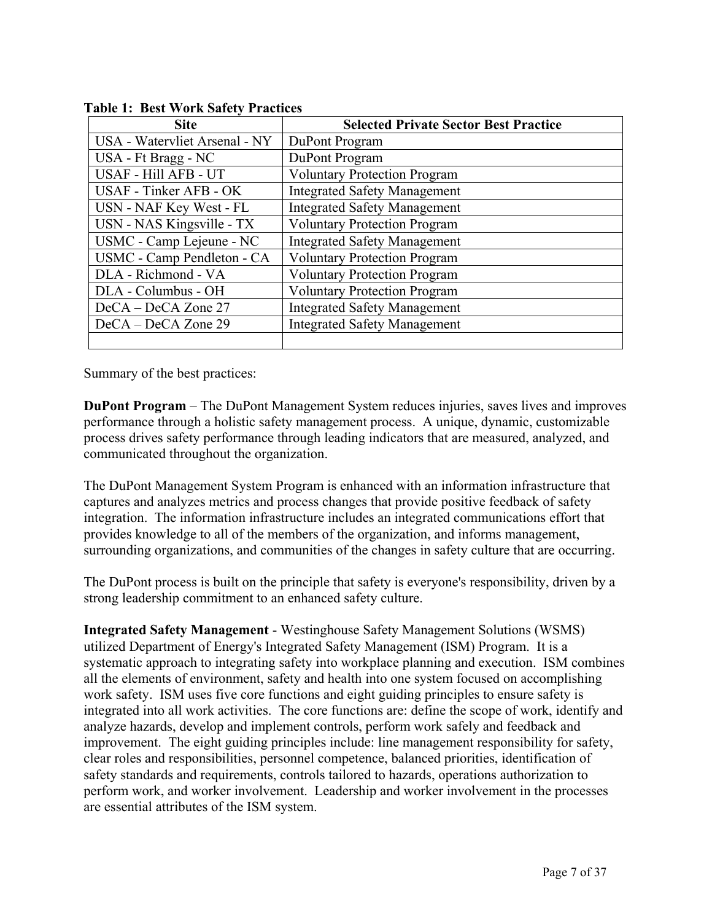| <b>Site</b>                   | <b>Selected Private Sector Best Practice</b> |  |
|-------------------------------|----------------------------------------------|--|
| USA - Watervliet Arsenal - NY | DuPont Program                               |  |
| USA - Ft Bragg - NC           | DuPont Program                               |  |
| USAF - Hill AFB - UT          | <b>Voluntary Protection Program</b>          |  |
| USAF - Tinker AFB - OK        | <b>Integrated Safety Management</b>          |  |
| USN - NAF Key West - FL       | <b>Integrated Safety Management</b>          |  |
| USN - NAS Kingsville - TX     | <b>Voluntary Protection Program</b>          |  |
| USMC - Camp Lejeune - NC      | <b>Integrated Safety Management</b>          |  |
| USMC - Camp Pendleton - CA    | <b>Voluntary Protection Program</b>          |  |
| DLA - Richmond - VA           | <b>Voluntary Protection Program</b>          |  |
| DLA - Columbus - OH           | <b>Voluntary Protection Program</b>          |  |
| DeCA – DeCA Zone 27           | <b>Integrated Safety Management</b>          |  |
| DeCA – DeCA Zone 29           | <b>Integrated Safety Management</b>          |  |
|                               |                                              |  |

**Table 1: Best Work Safety Practices** 

Summary of the best practices:

**DuPont Program** – The DuPont Management System reduces injuries, saves lives and improves performance through a holistic safety management process. A unique, dynamic, customizable process drives safety performance through leading indicators that are measured, analyzed, and communicated throughout the organization.

The DuPont Management System Program is enhanced with an information infrastructure that captures and analyzes metrics and process changes that provide positive feedback of safety integration. The information infrastructure includes an integrated communications effort that provides knowledge to all of the members of the organization, and informs management, surrounding organizations, and communities of the changes in safety culture that are occurring.

The DuPont process is built on the principle that safety is everyone's responsibility, driven by a strong leadership commitment to an enhanced safety culture.

**Integrated Safety Management** - Westinghouse Safety Management Solutions (WSMS) utilized Department of Energy's Integrated Safety Management (ISM) Program. It is a systematic approach to integrating safety into workplace planning and execution. ISM combines all the elements of environment, safety and health into one system focused on accomplishing work safety. ISM uses five core functions and eight guiding principles to ensure safety is integrated into all work activities. The core functions are: define the scope of work, identify and analyze hazards, develop and implement controls, perform work safely and feedback and improvement. The eight guiding principles include: line management responsibility for safety, clear roles and responsibilities, personnel competence, balanced priorities, identification of safety standards and requirements, controls tailored to hazards, operations authorization to perform work, and worker involvement. Leadership and worker involvement in the processes are essential attributes of the ISM system.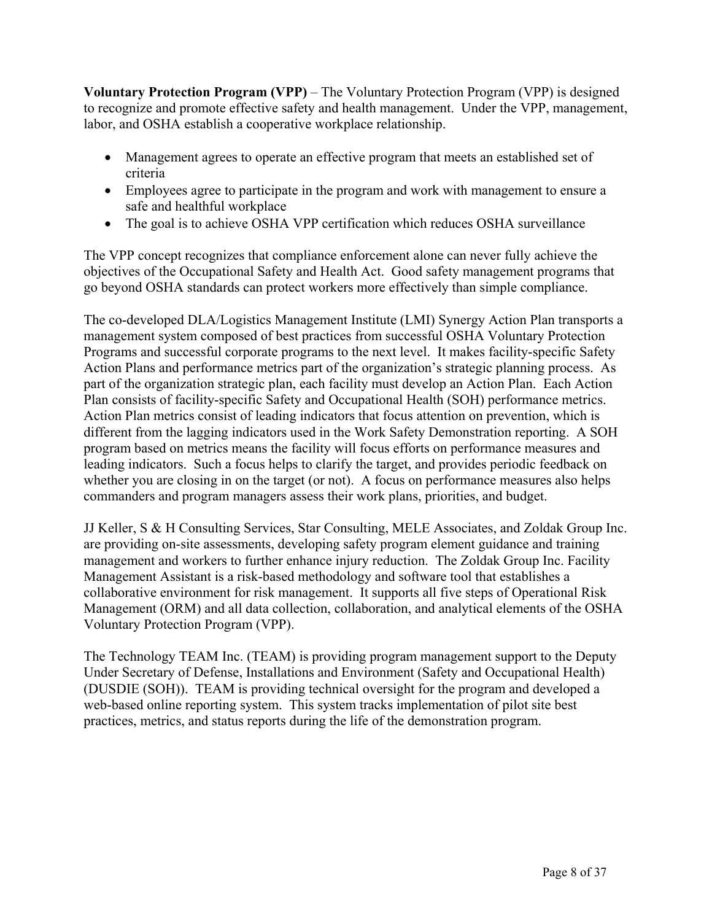**Voluntary Protection Program (VPP)** – The Voluntary Protection Program (VPP) is designed to recognize and promote effective safety and health management. Under the VPP, management, labor, and OSHA establish a cooperative workplace relationship.

- Management agrees to operate an effective program that meets an established set of criteria
- Employees agree to participate in the program and work with management to ensure a safe and healthful workplace
- The goal is to achieve OSHA VPP certification which reduces OSHA surveillance

The VPP concept recognizes that compliance enforcement alone can never fully achieve the objectives of the Occupational Safety and Health Act. Good safety management programs that go beyond OSHA standards can protect workers more effectively than simple compliance.

The co-developed DLA/Logistics Management Institute (LMI) Synergy Action Plan transports a management system composed of best practices from successful OSHA Voluntary Protection Programs and successful corporate programs to the next level. It makes facility-specific Safety Action Plans and performance metrics part of the organization's strategic planning process. As part of the organization strategic plan, each facility must develop an Action Plan. Each Action Plan consists of facility-specific Safety and Occupational Health (SOH) performance metrics. Action Plan metrics consist of leading indicators that focus attention on prevention, which is different from the lagging indicators used in the Work Safety Demonstration reporting. A SOH program based on metrics means the facility will focus efforts on performance measures and leading indicators. Such a focus helps to clarify the target, and provides periodic feedback on whether you are closing in on the target (or not). A focus on performance measures also helps commanders and program managers assess their work plans, priorities, and budget.

JJ Keller, S & H Consulting Services, Star Consulting, MELE Associates, and Zoldak Group Inc. are providing on-site assessments, developing safety program element guidance and training management and workers to further enhance injury reduction. The Zoldak Group Inc. Facility Management Assistant is a risk-based methodology and software tool that establishes a collaborative environment for risk management. It supports all five steps of Operational Risk Management (ORM) and all data collection, collaboration, and analytical elements of the OSHA Voluntary Protection Program (VPP).

The Technology TEAM Inc. (TEAM) is providing program management support to the Deputy Under Secretary of Defense, Installations and Environment (Safety and Occupational Health) (DUSDIE (SOH)). TEAM is providing technical oversight for the program and developed a web-based online reporting system. This system tracks implementation of pilot site best practices, metrics, and status reports during the life of the demonstration program.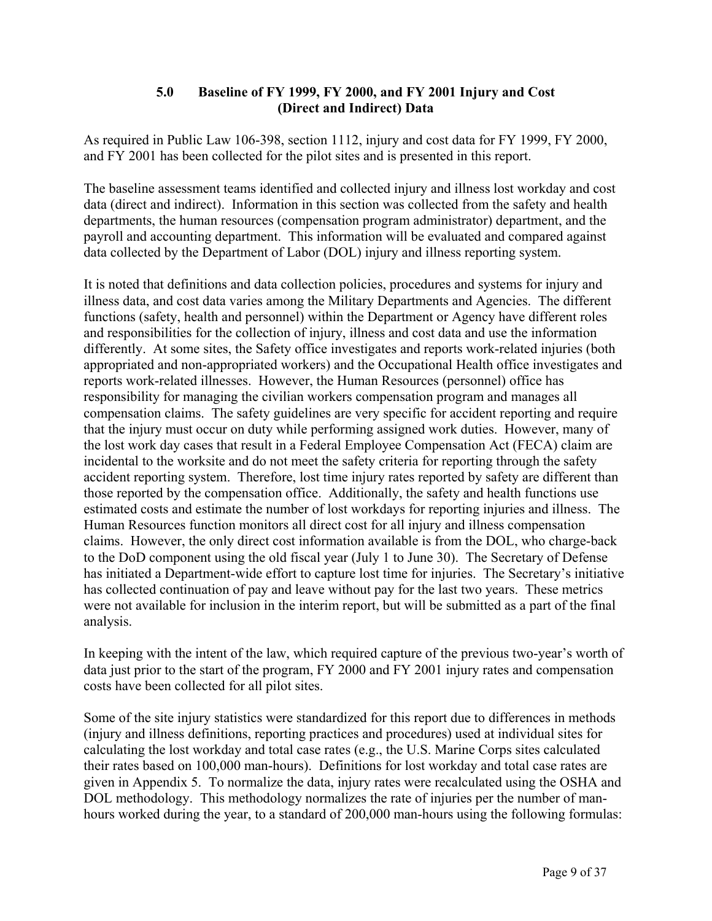## **5.0 Baseline of FY 1999, FY 2000, and FY 2001 Injury and Cost (Direct and Indirect) Data**

As required in Public Law 106-398, section 1112, injury and cost data for FY 1999, FY 2000, and FY 2001 has been collected for the pilot sites and is presented in this report.

The baseline assessment teams identified and collected injury and illness lost workday and cost data (direct and indirect). Information in this section was collected from the safety and health departments, the human resources (compensation program administrator) department, and the payroll and accounting department. This information will be evaluated and compared against data collected by the Department of Labor (DOL) injury and illness reporting system.

It is noted that definitions and data collection policies, procedures and systems for injury and illness data, and cost data varies among the Military Departments and Agencies. The different functions (safety, health and personnel) within the Department or Agency have different roles and responsibilities for the collection of injury, illness and cost data and use the information differently. At some sites, the Safety office investigates and reports work-related injuries (both appropriated and non-appropriated workers) and the Occupational Health office investigates and reports work-related illnesses. However, the Human Resources (personnel) office has responsibility for managing the civilian workers compensation program and manages all compensation claims. The safety guidelines are very specific for accident reporting and require that the injury must occur on duty while performing assigned work duties. However, many of the lost work day cases that result in a Federal Employee Compensation Act (FECA) claim are incidental to the worksite and do not meet the safety criteria for reporting through the safety accident reporting system. Therefore, lost time injury rates reported by safety are different than those reported by the compensation office. Additionally, the safety and health functions use estimated costs and estimate the number of lost workdays for reporting injuries and illness. The Human Resources function monitors all direct cost for all injury and illness compensation claims. However, the only direct cost information available is from the DOL, who charge-back to the DoD component using the old fiscal year (July 1 to June 30). The Secretary of Defense has initiated a Department-wide effort to capture lost time for injuries. The Secretary's initiative has collected continuation of pay and leave without pay for the last two years. These metrics were not available for inclusion in the interim report, but will be submitted as a part of the final analysis.

In keeping with the intent of the law, which required capture of the previous two-year's worth of data just prior to the start of the program, FY 2000 and FY 2001 injury rates and compensation costs have been collected for all pilot sites.

Some of the site injury statistics were standardized for this report due to differences in methods (injury and illness definitions, reporting practices and procedures) used at individual sites for calculating the lost workday and total case rates (e.g., the U.S. Marine Corps sites calculated their rates based on 100,000 man-hours). Definitions for lost workday and total case rates are given in Appendix 5. To normalize the data, injury rates were recalculated using the OSHA and DOL methodology. This methodology normalizes the rate of injuries per the number of manhours worked during the year, to a standard of 200,000 man-hours using the following formulas: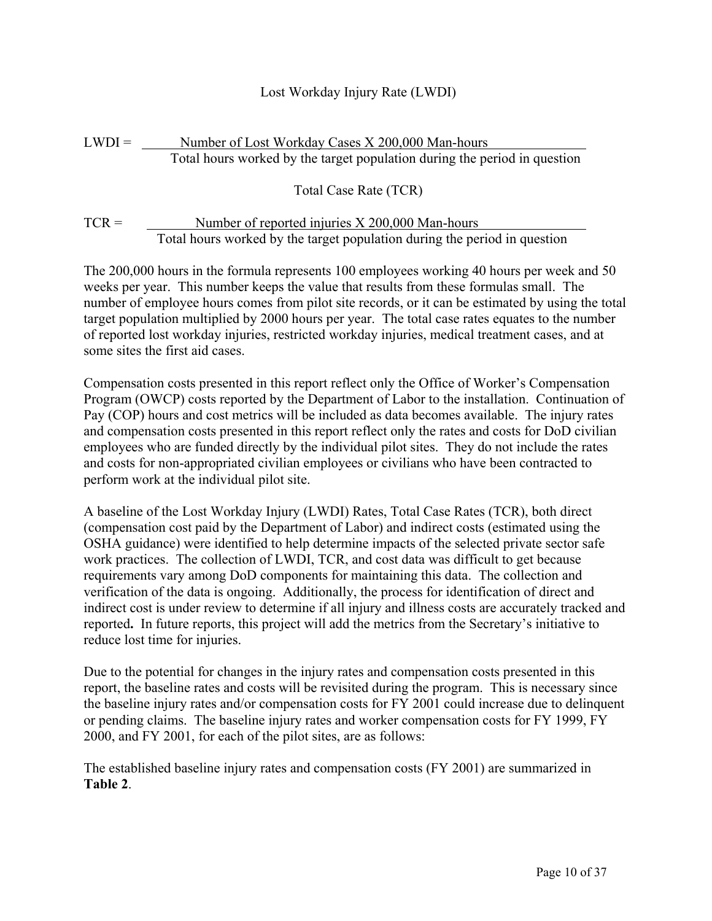## Lost Workday Injury Rate (LWDI)

## $LWDI =$  Number of Lost Workday Cases  $X\,200,000$  Man-hours Total hours worked by the target population during the period in question

Total Case Rate (TCR)

## $TCR =$  Number of reported injuries  $X\,200,000$  Man-hours Total hours worked by the target population during the period in question

The 200,000 hours in the formula represents 100 employees working 40 hours per week and 50 weeks per year. This number keeps the value that results from these formulas small. The number of employee hours comes from pilot site records, or it can be estimated by using the total target population multiplied by 2000 hours per year. The total case rates equates to the number of reported lost workday injuries, restricted workday injuries, medical treatment cases, and at some sites the first aid cases.

Compensation costs presented in this report reflect only the Office of Worker's Compensation Program (OWCP) costs reported by the Department of Labor to the installation. Continuation of Pay (COP) hours and cost metrics will be included as data becomes available. The injury rates and compensation costs presented in this report reflect only the rates and costs for DoD civilian employees who are funded directly by the individual pilot sites. They do not include the rates and costs for non-appropriated civilian employees or civilians who have been contracted to perform work at the individual pilot site.

A baseline of the Lost Workday Injury (LWDI) Rates, Total Case Rates (TCR), both direct (compensation cost paid by the Department of Labor) and indirect costs (estimated using the OSHA guidance) were identified to help determine impacts of the selected private sector safe work practices. The collection of LWDI, TCR, and cost data was difficult to get because requirements vary among DoD components for maintaining this data. The collection and verification of the data is ongoing. Additionally, the process for identification of direct and indirect cost is under review to determine if all injury and illness costs are accurately tracked and reported**.** In future reports, this project will add the metrics from the Secretary's initiative to reduce lost time for injuries.

Due to the potential for changes in the injury rates and compensation costs presented in this report, the baseline rates and costs will be revisited during the program. This is necessary since the baseline injury rates and/or compensation costs for FY 2001 could increase due to delinquent or pending claims. The baseline injury rates and worker compensation costs for FY 1999, FY 2000, and FY 2001, for each of the pilot sites, are as follows:

The established baseline injury rates and compensation costs (FY 2001) are summarized in **Table 2**.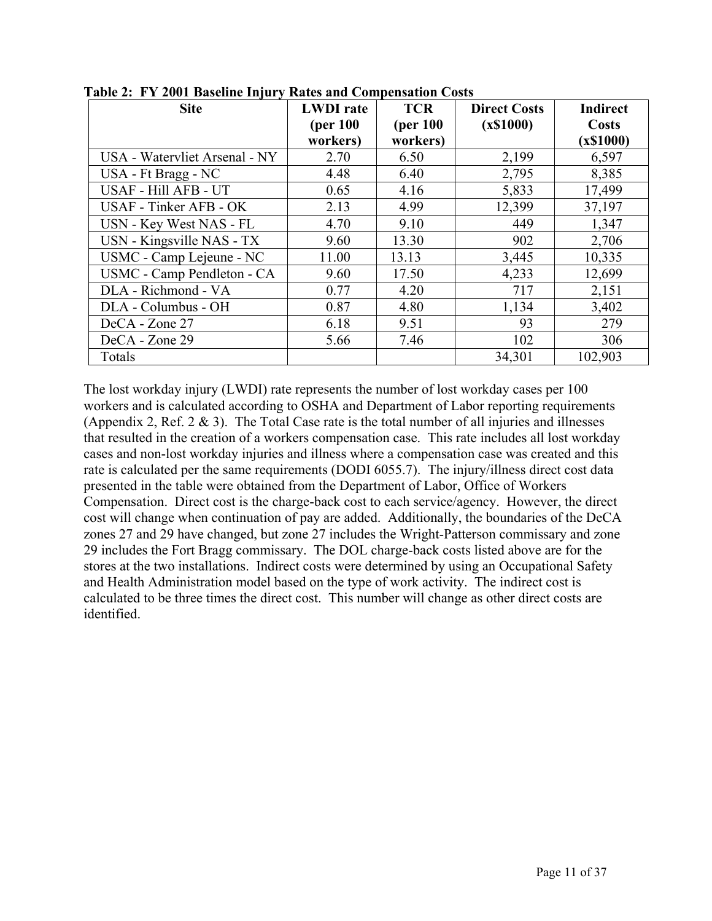| <b>Site</b>                       | <b>LWDI</b> rate | <b>TCR</b> | <b>Direct Costs</b> | <b>Indirect</b> |
|-----------------------------------|------------------|------------|---------------------|-----------------|
|                                   | (per 100)        | (per 100)  | (x\$1000)           | Costs           |
|                                   | workers)         | workers)   |                     | (x\$1000)       |
| USA - Watervliet Arsenal - NY     | 2.70             | 6.50       | 2,199               | 6,597           |
| USA - Ft Bragg - NC               | 4.48             | 6.40       | 2,795               | 8,385           |
| USAF - Hill AFB - UT              | 0.65             | 4.16       | 5,833               | 17,499          |
| USAF - Tinker AFB - OK            | 2.13             | 4.99       | 12,399              | 37,197          |
| USN - Key West NAS - FL           | 4.70             | 9.10       | 449                 | 1,347           |
| USN - Kingsville NAS - TX         | 9.60             | 13.30      | 902                 | 2,706           |
| USMC - Camp Lejeune - NC          | 11.00            | 13.13      | 3,445               | 10,335          |
| <b>USMC</b> - Camp Pendleton - CA | 9.60             | 17.50      | 4,233               | 12,699          |
| DLA - Richmond - VA               | 0.77             | 4.20       | 717                 | 2,151           |
| DLA - Columbus - OH               | 0.87             | 4.80       | 1,134               | 3,402           |
| DeCA - Zone 27                    | 6.18             | 9.51       | 93                  | 279             |
| DeCA - Zone 29                    | 5.66             | 7.46       | 102                 | 306             |
| Totals                            |                  |            | 34,301              | 102,903         |

**Table 2: FY 2001 Baseline Injury Rates and Compensation Costs** 

The lost workday injury (LWDI) rate represents the number of lost workday cases per 100 workers and is calculated according to OSHA and Department of Labor reporting requirements (Appendix 2, Ref.  $2 \& 3$ ). The Total Case rate is the total number of all injuries and illnesses that resulted in the creation of a workers compensation case. This rate includes all lost workday cases and non-lost workday injuries and illness where a compensation case was created and this rate is calculated per the same requirements (DODI 6055.7). The injury/illness direct cost data presented in the table were obtained from the Department of Labor, Office of Workers Compensation. Direct cost is the charge-back cost to each service/agency. However, the direct cost will change when continuation of pay are added. Additionally, the boundaries of the DeCA zones 27 and 29 have changed, but zone 27 includes the Wright-Patterson commissary and zone 29 includes the Fort Bragg commissary. The DOL charge-back costs listed above are for the stores at the two installations. Indirect costs were determined by using an Occupational Safety and Health Administration model based on the type of work activity. The indirect cost is calculated to be three times the direct cost. This number will change as other direct costs are identified.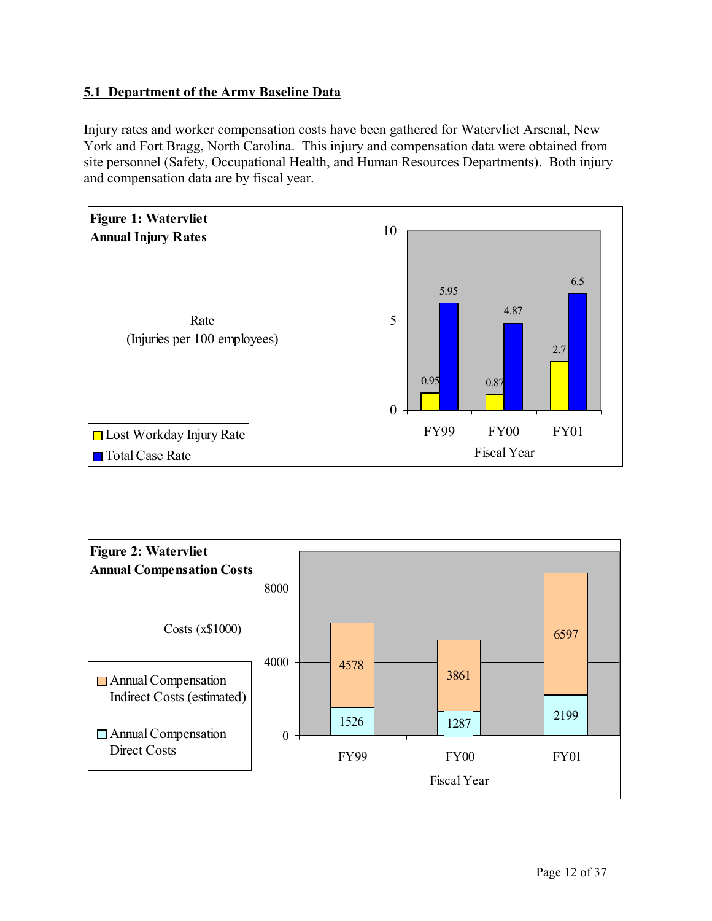## **5.1 Department of the Army Baseline Data**

Injury rates and worker compensation costs have been gathered for Watervliet Arsenal, New York and Fort Bragg, North Carolina. This injury and compensation data were obtained from site personnel (Safety, Occupational Health, and Human Resources Departments). Both injury and compensation data are by fiscal year.



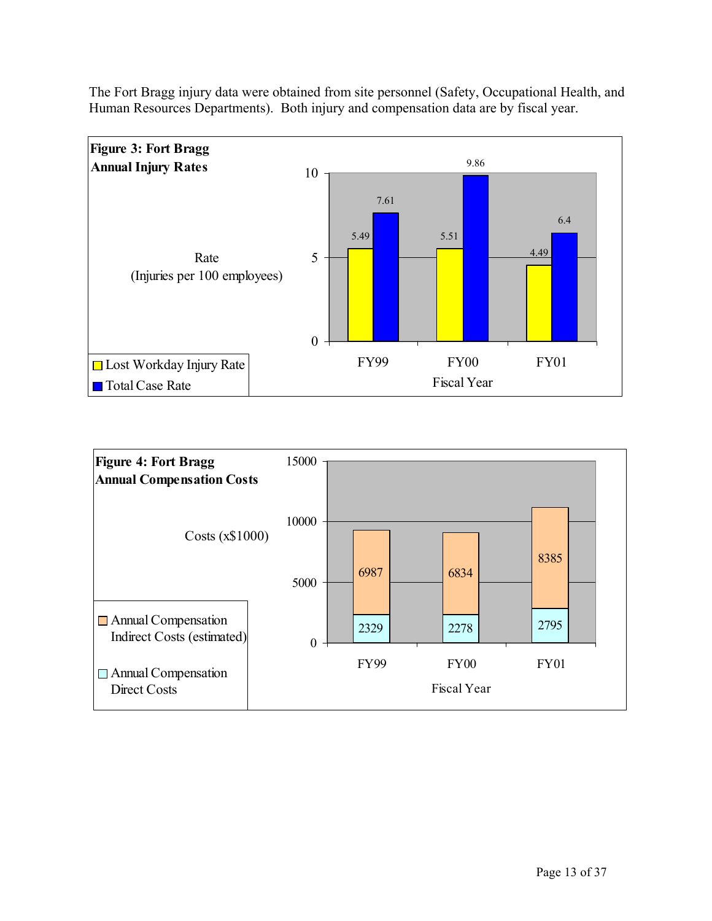The Fort Bragg injury data were obtained from site personnel (Safety, Occupational Health, and Human Resources Departments). Both injury and compensation data are by fiscal year.



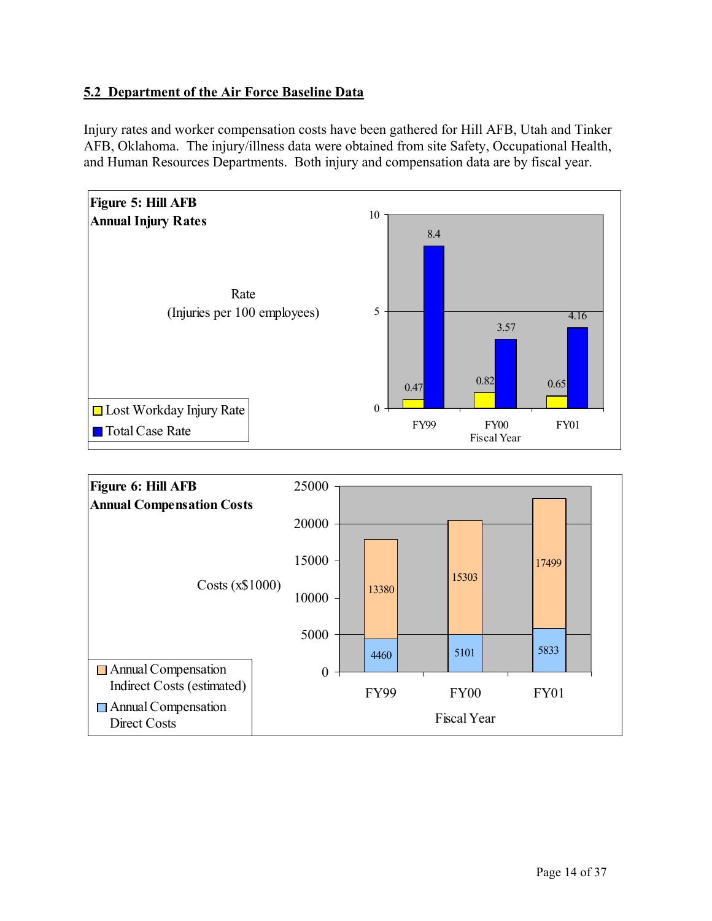## **5.2 Department of the Air Force Baseline Data**

Injury rates and worker compensation costs have been gathered for Hill AFB, Utah and Tinker AFB, Oklahoma. The injury/illness data were obtained from site Safety, Occupational Health, and Human Resources Departments. Both injury and compensation data are by fiscal year.



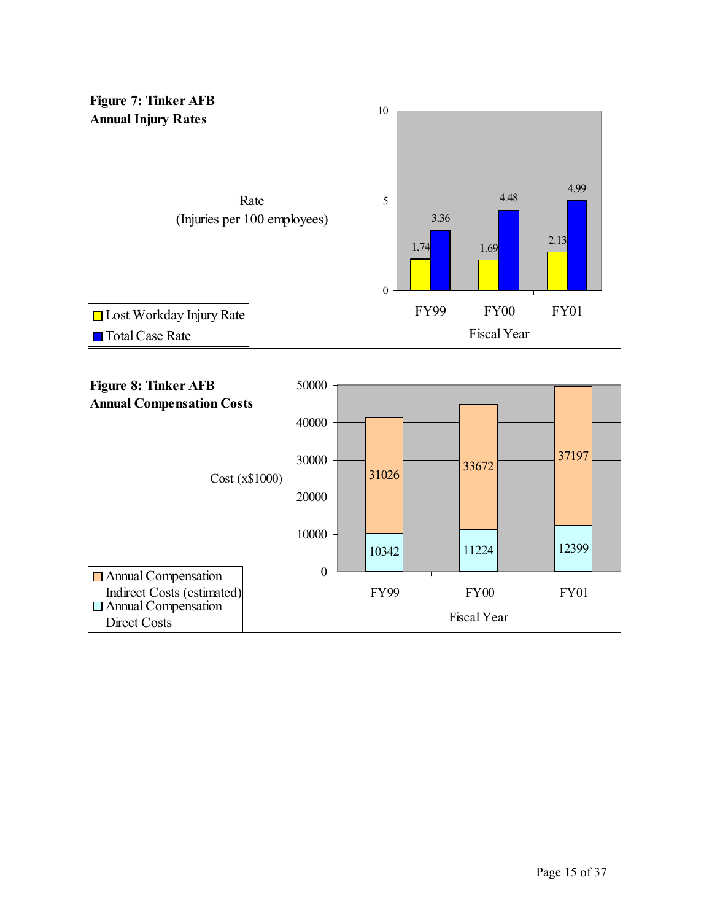

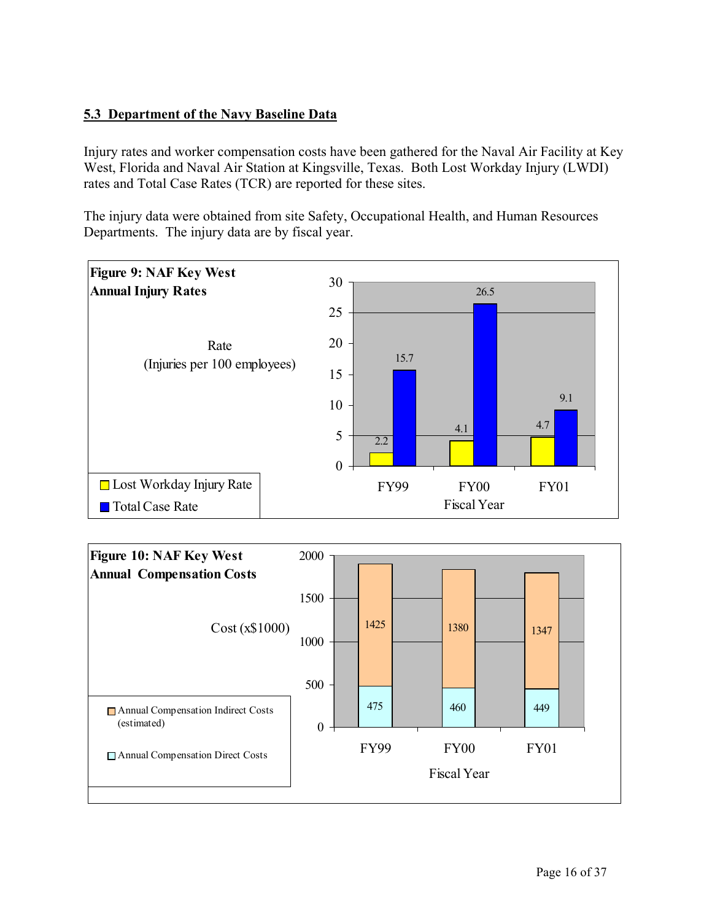## **5.3 Department of the Navy Baseline Data**

Injury rates and worker compensation costs have been gathered for the Naval Air Facility at Key West, Florida and Naval Air Station at Kingsville, Texas. Both Lost Workday Injury (LWDI) rates and Total Case Rates (TCR) are reported for these sites.

The injury data were obtained from site Safety, Occupational Health, and Human Resources Departments. The injury data are by fiscal year.



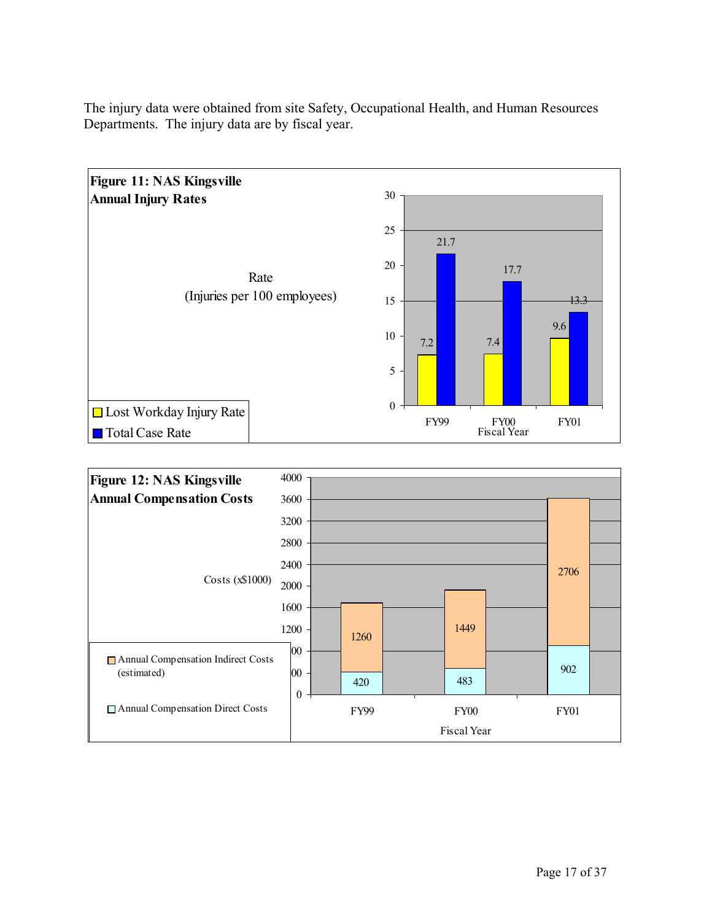

The injury data were obtained from site Safety, Occupational Health, and Human Resources Departments. The injury data are by fiscal year.

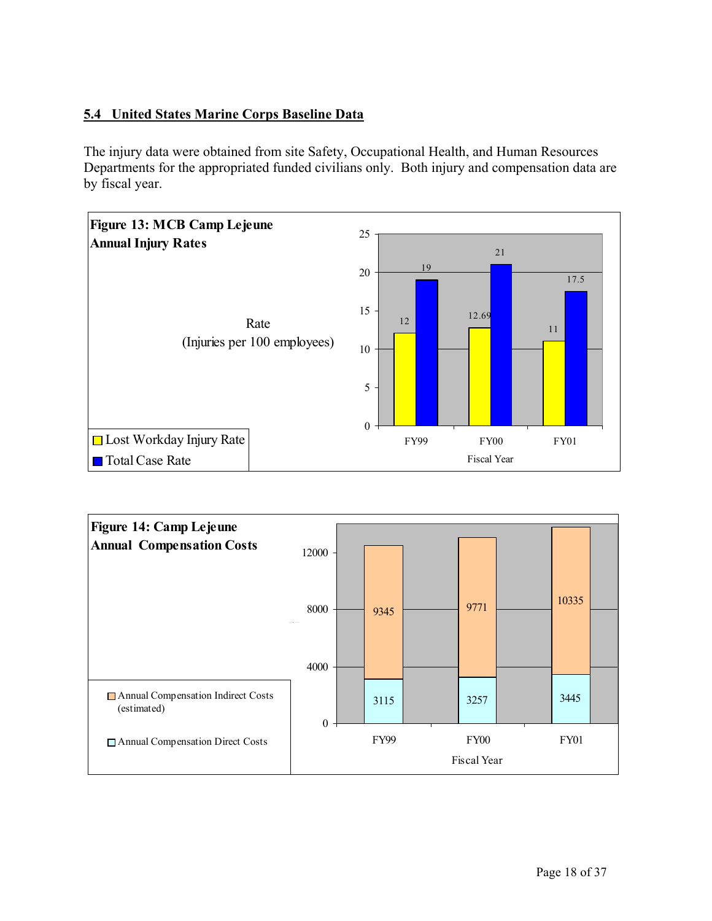## **5.4 United States Marine Corps Baseline Data**

The injury data were obtained from site Safety, Occupational Health, and Human Resources Departments for the appropriated funded civilians only. Both injury and compensation data are by fiscal year.



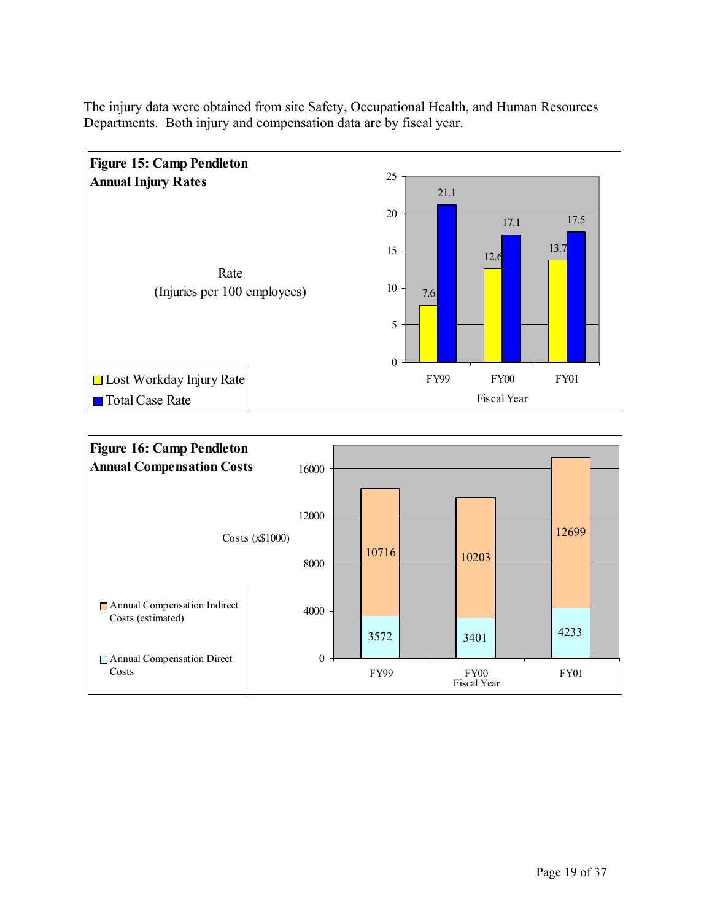

The injury data were obtained from site Safety, Occupational Health, and Human Resources Departments. Both injury and compensation data are by fiscal year.

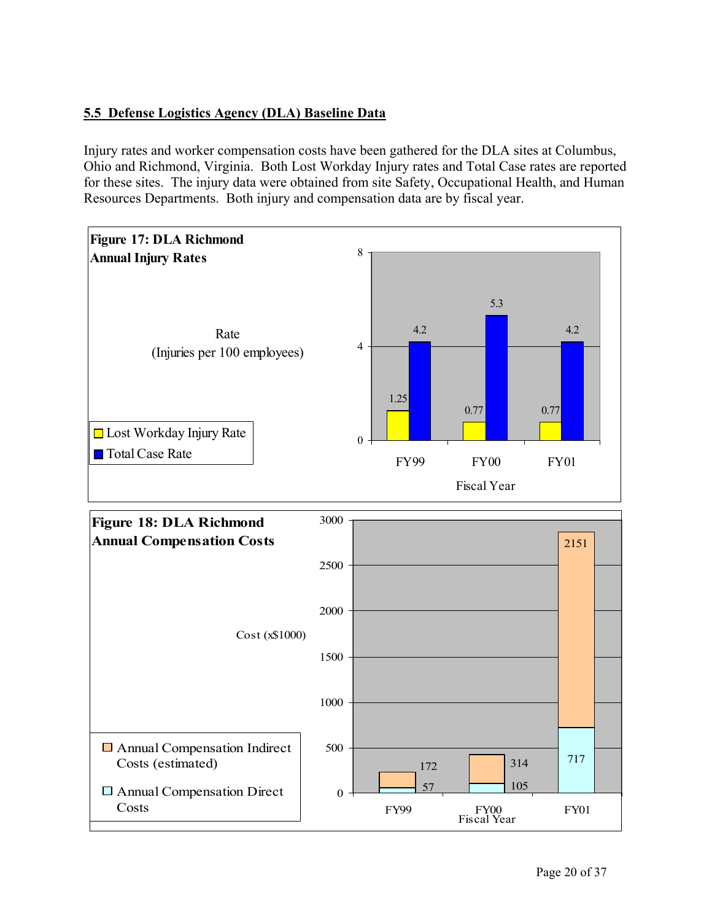## **5.5 Defense Logistics Agency (DLA) Baseline Data**

Injury rates and worker compensation costs have been gathered for the DLA sites at Columbus, Ohio and Richmond, Virginia. Both Lost Workday Injury rates and Total Case rates are reported for these sites. The injury data were obtained from site Safety, Occupational Health, and Human Resources Departments. Both injury and compensation data are by fiscal year.

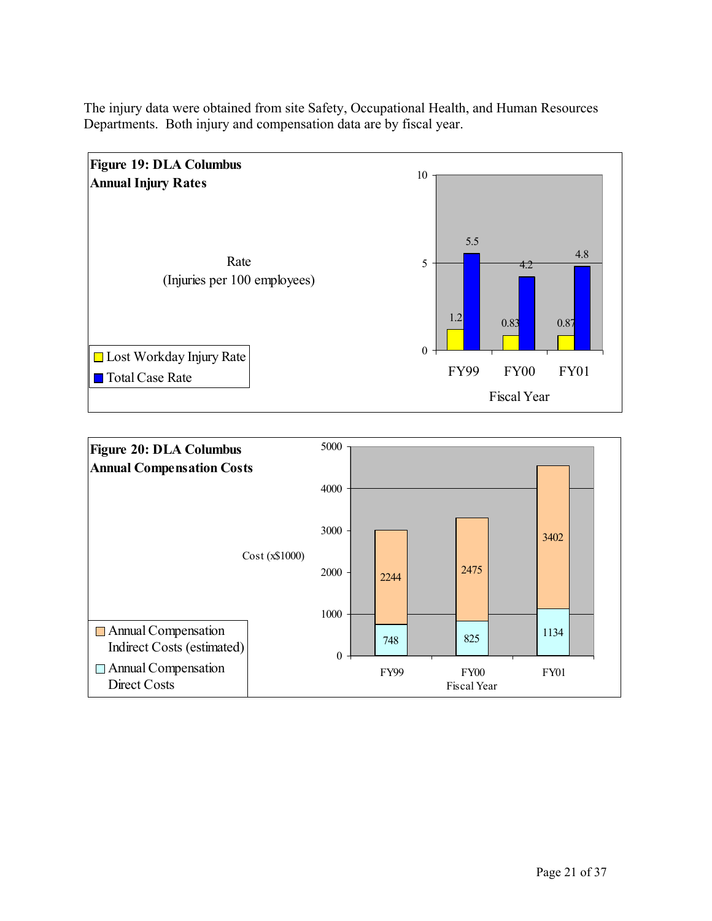

The injury data were obtained from site Safety, Occupational Health, and Human Resources Departments. Both injury and compensation data are by fiscal year.

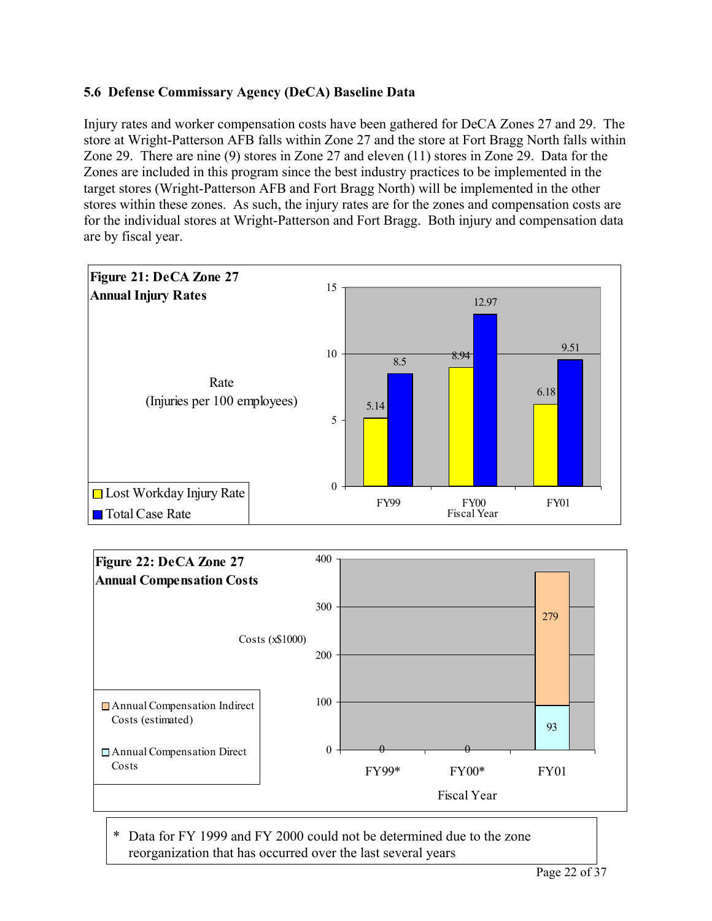## **5.6 Defense Commissary Agency (DeCA) Baseline Data**

Injury rates and worker compensation costs have been gathered for DeCA Zones 27 and 29. The store at Wright-Patterson AFB falls within Zone 27 and the store at Fort Bragg North falls within Zone 29. There are nine (9) stores in Zone 27 and eleven (11) stores in Zone 29. Data for the Zones are included in this program since the best industry practices to be implemented in the target stores (Wright-Patterson AFB and Fort Bragg North) will be implemented in the other stores within these zones. As such, the injury rates are for the zones and compensation costs are for the individual stores at Wright-Patterson and Fort Bragg. Both injury and compensation data are by fiscal year.





\* Data for FY 1999 and FY 2000 could not be determined due to the zone reorganization that has occurred over the last several years

Page 22 of 37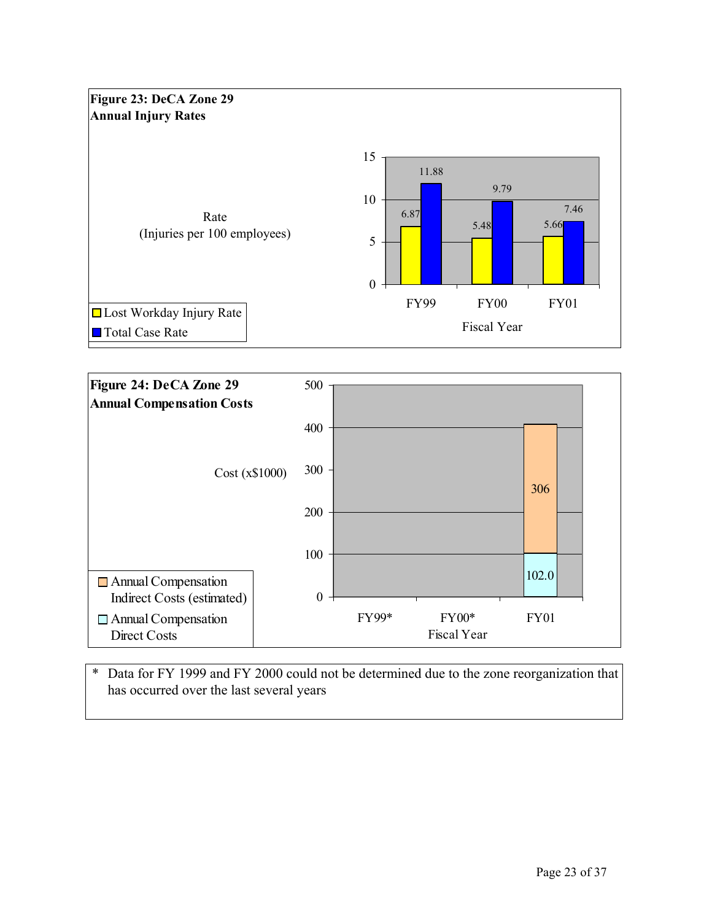



\* Data for FY 1999 and FY 2000 could not be determined due to the zone reorganization that has occurred over the last several years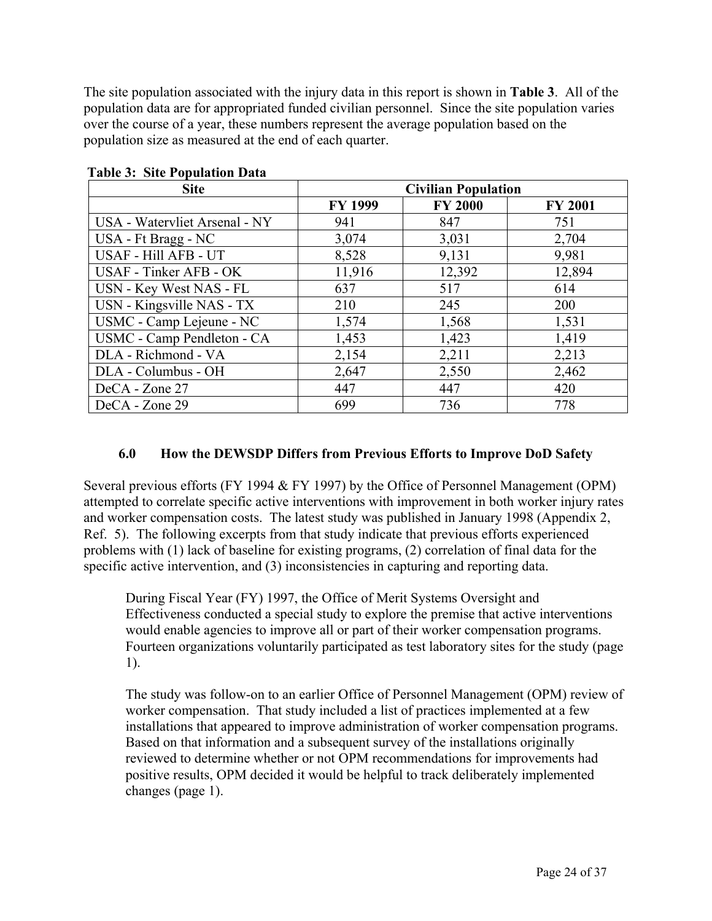The site population associated with the injury data in this report is shown in **Table 3**. All of the population data are for appropriated funded civilian personnel. Since the site population varies over the course of a year, these numbers represent the average population based on the population size as measured at the end of each quarter.

| <b>Site</b>                   |                | <b>Civilian Population</b> |                |
|-------------------------------|----------------|----------------------------|----------------|
|                               | <b>FY 1999</b> | <b>FY 2000</b>             | <b>FY 2001</b> |
| USA - Watervliet Arsenal - NY | 941            | 847                        | 751            |
| USA - Ft Bragg - NC           | 3,074          | 3,031                      | 2,704          |
| USAF - Hill AFB - UT          | 8,528          | 9,131                      | 9,981          |
| USAF - Tinker AFB - OK        | 11,916         | 12,392                     | 12,894         |
| USN - Key West NAS - FL       | 637            | 517                        | 614            |
| USN - Kingsville NAS - TX     | 210            | 245                        | 200            |
| USMC - Camp Lejeune - NC      | 1,574          | 1,568                      | 1,531          |
| USMC - Camp Pendleton - CA    | 1,453          | 1,423                      | 1,419          |
| DLA - Richmond - VA           | 2,154          | 2,211                      | 2,213          |
| DLA - Columbus - OH           | 2,647          | 2,550                      | 2,462          |
| DeCA - Zone 27                | 447            | 447                        | 420            |
| DeCA - Zone 29                | 699            | 736                        | 778            |

#### **Table 3: Site Population Data**

### **6.0 How the DEWSDP Differs from Previous Efforts to Improve DoD Safety**

Several previous efforts (FY 1994 & FY 1997) by the Office of Personnel Management (OPM) attempted to correlate specific active interventions with improvement in both worker injury rates and worker compensation costs. The latest study was published in January 1998 (Appendix 2, Ref. 5). The following excerpts from that study indicate that previous efforts experienced problems with (1) lack of baseline for existing programs, (2) correlation of final data for the specific active intervention, and (3) inconsistencies in capturing and reporting data.

During Fiscal Year (FY) 1997, the Office of Merit Systems Oversight and Effectiveness conducted a special study to explore the premise that active interventions would enable agencies to improve all or part of their worker compensation programs. Fourteen organizations voluntarily participated as test laboratory sites for the study (page 1).

The study was follow-on to an earlier Office of Personnel Management (OPM) review of worker compensation. That study included a list of practices implemented at a few installations that appeared to improve administration of worker compensation programs. Based on that information and a subsequent survey of the installations originally reviewed to determine whether or not OPM recommendations for improvements had positive results, OPM decided it would be helpful to track deliberately implemented changes (page 1).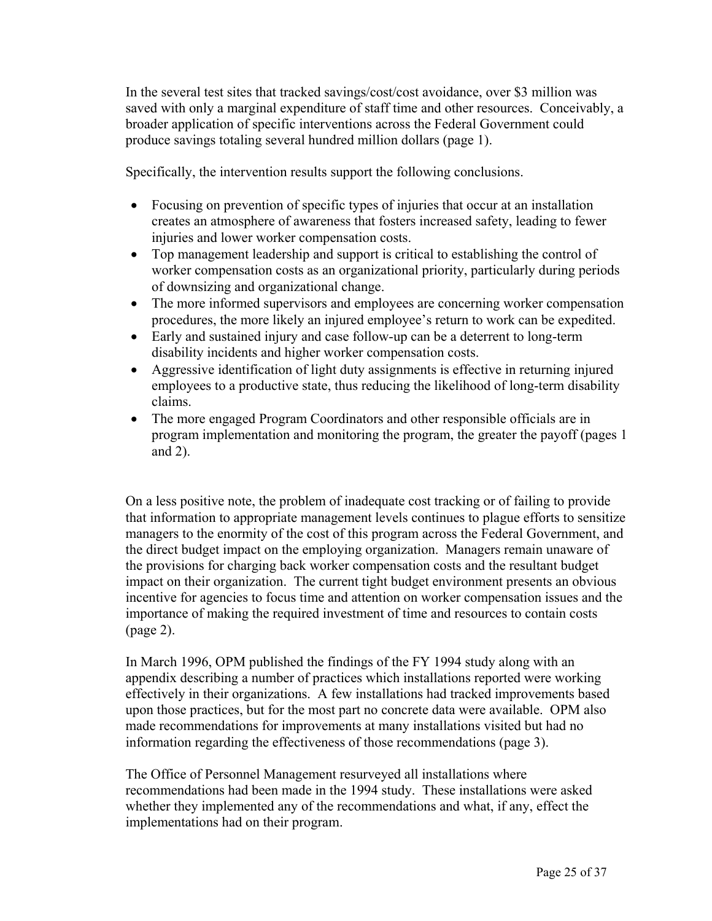In the several test sites that tracked savings/cost/cost avoidance, over \$3 million was saved with only a marginal expenditure of staff time and other resources. Conceivably, a broader application of specific interventions across the Federal Government could produce savings totaling several hundred million dollars (page 1).

Specifically, the intervention results support the following conclusions.

- Focusing on prevention of specific types of injuries that occur at an installation creates an atmosphere of awareness that fosters increased safety, leading to fewer injuries and lower worker compensation costs.
- Top management leadership and support is critical to establishing the control of worker compensation costs as an organizational priority, particularly during periods of downsizing and organizational change.
- The more informed supervisors and employees are concerning worker compensation procedures, the more likely an injured employee's return to work can be expedited.
- Early and sustained injury and case follow-up can be a deterrent to long-term disability incidents and higher worker compensation costs.
- Aggressive identification of light duty assignments is effective in returning injured employees to a productive state, thus reducing the likelihood of long-term disability claims.
- The more engaged Program Coordinators and other responsible officials are in program implementation and monitoring the program, the greater the payoff (pages 1 and 2).

On a less positive note, the problem of inadequate cost tracking or of failing to provide that information to appropriate management levels continues to plague efforts to sensitize managers to the enormity of the cost of this program across the Federal Government, and the direct budget impact on the employing organization. Managers remain unaware of the provisions for charging back worker compensation costs and the resultant budget impact on their organization. The current tight budget environment presents an obvious incentive for agencies to focus time and attention on worker compensation issues and the importance of making the required investment of time and resources to contain costs (page 2).

In March 1996, OPM published the findings of the FY 1994 study along with an appendix describing a number of practices which installations reported were working effectively in their organizations. A few installations had tracked improvements based upon those practices, but for the most part no concrete data were available. OPM also made recommendations for improvements at many installations visited but had no information regarding the effectiveness of those recommendations (page 3).

The Office of Personnel Management resurveyed all installations where recommendations had been made in the 1994 study. These installations were asked whether they implemented any of the recommendations and what, if any, effect the implementations had on their program.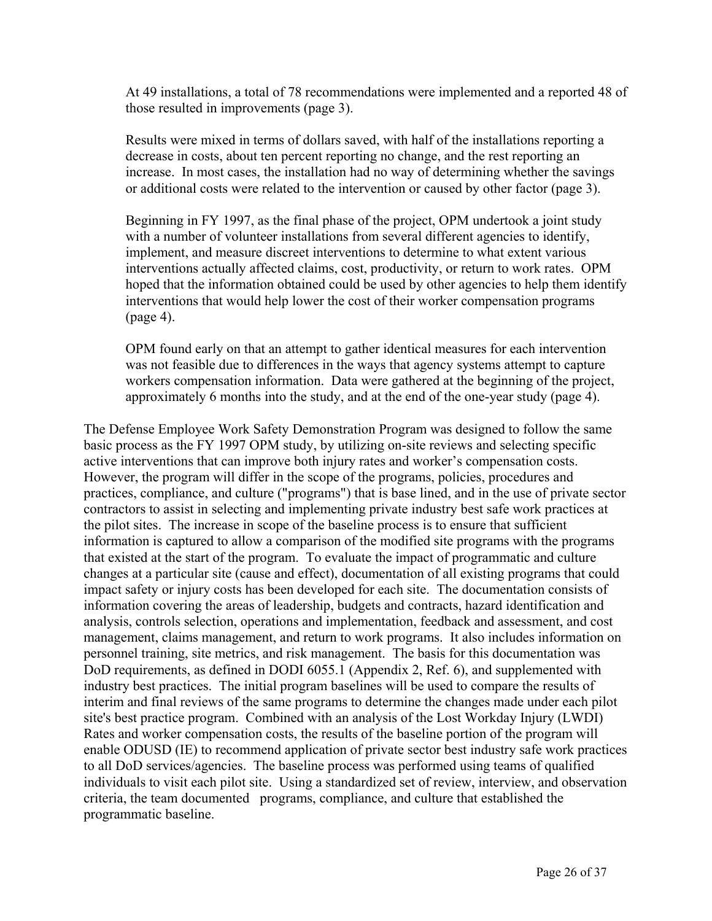At 49 installations, a total of 78 recommendations were implemented and a reported 48 of those resulted in improvements (page 3).

Results were mixed in terms of dollars saved, with half of the installations reporting a decrease in costs, about ten percent reporting no change, and the rest reporting an increase. In most cases, the installation had no way of determining whether the savings or additional costs were related to the intervention or caused by other factor (page 3).

Beginning in FY 1997, as the final phase of the project, OPM undertook a joint study with a number of volunteer installations from several different agencies to identify, implement, and measure discreet interventions to determine to what extent various interventions actually affected claims, cost, productivity, or return to work rates. OPM hoped that the information obtained could be used by other agencies to help them identify interventions that would help lower the cost of their worker compensation programs (page 4).

OPM found early on that an attempt to gather identical measures for each intervention was not feasible due to differences in the ways that agency systems attempt to capture workers compensation information. Data were gathered at the beginning of the project, approximately 6 months into the study, and at the end of the one-year study (page 4).

The Defense Employee Work Safety Demonstration Program was designed to follow the same basic process as the FY 1997 OPM study, by utilizing on-site reviews and selecting specific active interventions that can improve both injury rates and worker's compensation costs. However, the program will differ in the scope of the programs, policies, procedures and practices, compliance, and culture ("programs") that is base lined, and in the use of private sector contractors to assist in selecting and implementing private industry best safe work practices at the pilot sites. The increase in scope of the baseline process is to ensure that sufficient information is captured to allow a comparison of the modified site programs with the programs that existed at the start of the program. To evaluate the impact of programmatic and culture changes at a particular site (cause and effect), documentation of all existing programs that could impact safety or injury costs has been developed for each site. The documentation consists of information covering the areas of leadership, budgets and contracts, hazard identification and analysis, controls selection, operations and implementation, feedback and assessment, and cost management, claims management, and return to work programs. It also includes information on personnel training, site metrics, and risk management. The basis for this documentation was DoD requirements, as defined in DODI 6055.1 (Appendix 2, Ref. 6), and supplemented with industry best practices. The initial program baselines will be used to compare the results of interim and final reviews of the same programs to determine the changes made under each pilot site's best practice program. Combined with an analysis of the Lost Workday Injury (LWDI) Rates and worker compensation costs, the results of the baseline portion of the program will enable ODUSD (IE) to recommend application of private sector best industry safe work practices to all DoD services/agencies. The baseline process was performed using teams of qualified individuals to visit each pilot site. Using a standardized set of review, interview, and observation criteria, the team documented programs, compliance, and culture that established the programmatic baseline.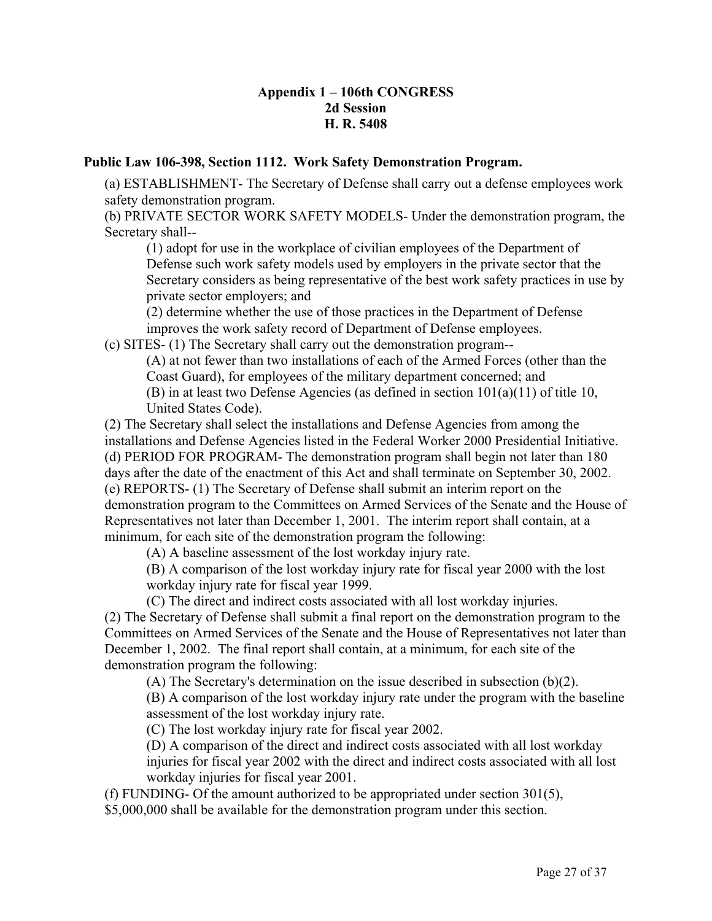### **Appendix 1 – 106th CONGRESS 2d Session H. R. 5408**

#### **Public Law 106-398, Section 1112. Work Safety Demonstration Program.**

(a) ESTABLISHMENT- The Secretary of Defense shall carry out a defense employees work safety demonstration program.

(b) PRIVATE SECTOR WORK SAFETY MODELS- Under the demonstration program, the Secretary shall--

(1) adopt for use in the workplace of civilian employees of the Department of Defense such work safety models used by employers in the private sector that the Secretary considers as being representative of the best work safety practices in use by private sector employers; and

(2) determine whether the use of those practices in the Department of Defense improves the work safety record of Department of Defense employees.

(c) SITES- (1) The Secretary shall carry out the demonstration program--

(A) at not fewer than two installations of each of the Armed Forces (other than the Coast Guard), for employees of the military department concerned; and (B) in at least two Defense Agencies (as defined in section 101(a)(11) of title 10, United States Code).

(2) The Secretary shall select the installations and Defense Agencies from among the installations and Defense Agencies listed in the Federal Worker 2000 Presidential Initiative. (d) PERIOD FOR PROGRAM- The demonstration program shall begin not later than 180 days after the date of the enactment of this Act and shall terminate on September 30, 2002. (e) REPORTS- (1) The Secretary of Defense shall submit an interim report on the demonstration program to the Committees on Armed Services of the Senate and the House of Representatives not later than December 1, 2001. The interim report shall contain, at a minimum, for each site of the demonstration program the following:

(A) A baseline assessment of the lost workday injury rate.

(B) A comparison of the lost workday injury rate for fiscal year 2000 with the lost workday injury rate for fiscal year 1999.

(C) The direct and indirect costs associated with all lost workday injuries.

(2) The Secretary of Defense shall submit a final report on the demonstration program to the Committees on Armed Services of the Senate and the House of Representatives not later than December 1, 2002. The final report shall contain, at a minimum, for each site of the demonstration program the following:

(A) The Secretary's determination on the issue described in subsection (b)(2).

(B) A comparison of the lost workday injury rate under the program with the baseline assessment of the lost workday injury rate.

(C) The lost workday injury rate for fiscal year 2002.

(D) A comparison of the direct and indirect costs associated with all lost workday injuries for fiscal year 2002 with the direct and indirect costs associated with all lost workday injuries for fiscal year 2001.

(f) FUNDING- Of the amount authorized to be appropriated under section 301(5),

\$5,000,000 shall be available for the demonstration program under this section.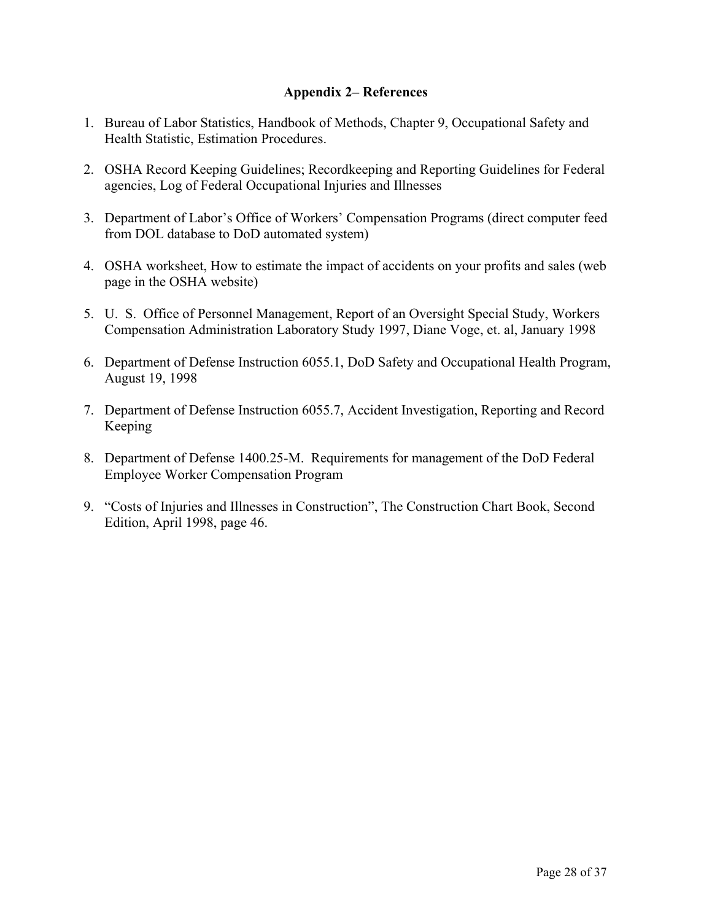### **Appendix 2– References**

- 1. Bureau of Labor Statistics, Handbook of Methods, Chapter 9, Occupational Safety and Health Statistic, Estimation Procedures.
- 2. OSHA Record Keeping Guidelines; Recordkeeping and Reporting Guidelines for Federal agencies, Log of Federal Occupational Injuries and Illnesses
- 3. Department of Labor's Office of Workers' Compensation Programs (direct computer feed from DOL database to DoD automated system)
- 4. OSHA worksheet, How to estimate the impact of accidents on your profits and sales (web page in the OSHA website)
- 5. U. S. Office of Personnel Management, Report of an Oversight Special Study, Workers Compensation Administration Laboratory Study 1997, Diane Voge, et. al, January 1998
- 6. Department of Defense Instruction 6055.1, DoD Safety and Occupational Health Program, August 19, 1998
- 7. Department of Defense Instruction 6055.7, Accident Investigation, Reporting and Record Keeping
- 8. Department of Defense 1400.25-M. Requirements for management of the DoD Federal Employee Worker Compensation Program
- 9. "Costs of Injuries and Illnesses in Construction", The Construction Chart Book, Second Edition, April 1998, page 46.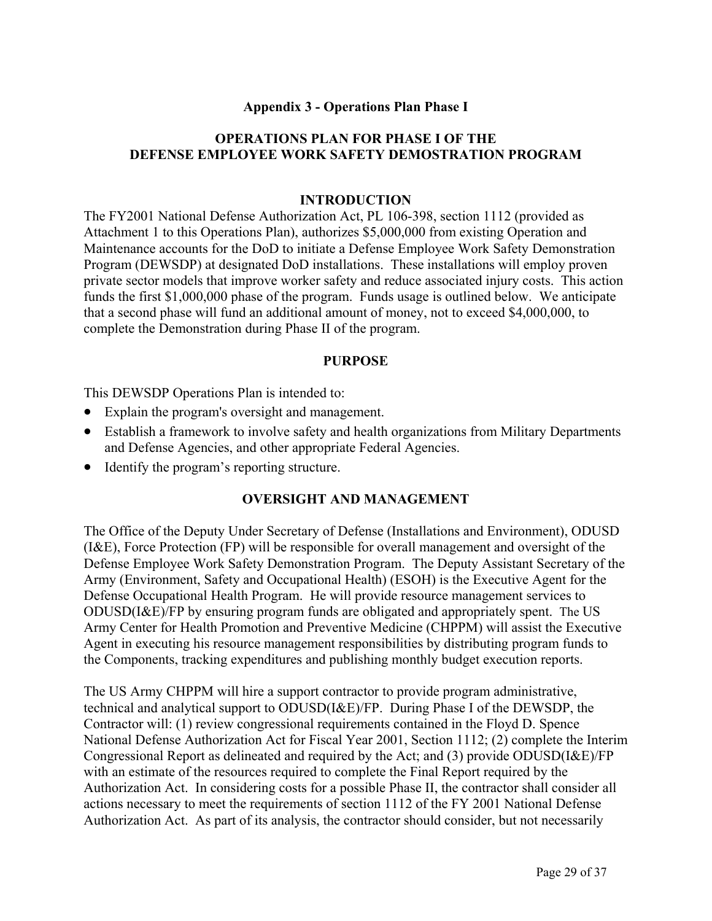### **Appendix 3 - Operations Plan Phase I**

### **OPERATIONS PLAN FOR PHASE I OF THE DEFENSE EMPLOYEE WORK SAFETY DEMOSTRATION PROGRAM**

#### **INTRODUCTION**

The FY2001 National Defense Authorization Act, PL 106-398, section 1112 (provided as Attachment 1 to this Operations Plan), authorizes \$5,000,000 from existing Operation and Maintenance accounts for the DoD to initiate a Defense Employee Work Safety Demonstration Program (DEWSDP) at designated DoD installations. These installations will employ proven private sector models that improve worker safety and reduce associated injury costs. This action funds the first \$1,000,000 phase of the program. Funds usage is outlined below. We anticipate that a second phase will fund an additional amount of money, not to exceed \$4,000,000, to complete the Demonstration during Phase II of the program.

#### **PURPOSE**

This DEWSDP Operations Plan is intended to:

- Explain the program's oversight and management.
- Establish a framework to involve safety and health organizations from Military Departments and Defense Agencies, and other appropriate Federal Agencies.
- Identify the program's reporting structure.

#### **OVERSIGHT AND MANAGEMENT**

The Office of the Deputy Under Secretary of Defense (Installations and Environment), ODUSD (I&E), Force Protection (FP) will be responsible for overall management and oversight of the Defense Employee Work Safety Demonstration Program. The Deputy Assistant Secretary of the Army (Environment, Safety and Occupational Health) (ESOH) is the Executive Agent for the Defense Occupational Health Program. He will provide resource management services to ODUSD(I&E)/FP by ensuring program funds are obligated and appropriately spent. The US Army Center for Health Promotion and Preventive Medicine (CHPPM) will assist the Executive Agent in executing his resource management responsibilities by distributing program funds to the Components, tracking expenditures and publishing monthly budget execution reports.

The US Army CHPPM will hire a support contractor to provide program administrative, technical and analytical support to ODUSD(I&E)/FP. During Phase I of the DEWSDP, the Contractor will: (1) review congressional requirements contained in the Floyd D. Spence National Defense Authorization Act for Fiscal Year 2001, Section 1112; (2) complete the Interim Congressional Report as delineated and required by the Act; and (3) provide ODUSD(I&E)/FP with an estimate of the resources required to complete the Final Report required by the Authorization Act. In considering costs for a possible Phase II, the contractor shall consider all actions necessary to meet the requirements of section 1112 of the FY 2001 National Defense Authorization Act. As part of its analysis, the contractor should consider, but not necessarily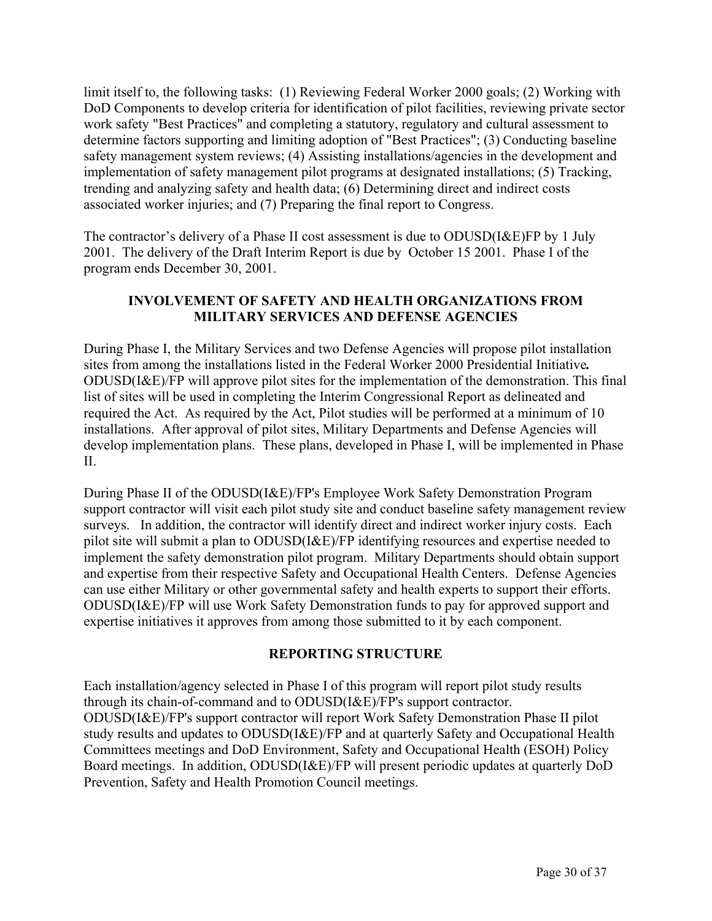limit itself to, the following tasks: (1) Reviewing Federal Worker 2000 goals; (2) Working with DoD Components to develop criteria for identification of pilot facilities, reviewing private sector work safety "Best Practices" and completing a statutory, regulatory and cultural assessment to determine factors supporting and limiting adoption of "Best Practices"; (3) Conducting baseline safety management system reviews; (4) Assisting installations/agencies in the development and implementation of safety management pilot programs at designated installations; (5) Tracking, trending and analyzing safety and health data; (6) Determining direct and indirect costs associated worker injuries; and (7) Preparing the final report to Congress.

The contractor's delivery of a Phase II cost assessment is due to ODUSD(I&E)FP by 1 July 2001. The delivery of the Draft Interim Report is due by October 15 2001. Phase I of the program ends December 30, 2001.

## **INVOLVEMENT OF SAFETY AND HEALTH ORGANIZATIONS FROM MILITARY SERVICES AND DEFENSE AGENCIES**

During Phase I, the Military Services and two Defense Agencies will propose pilot installation sites from among the installations listed in the Federal Worker 2000 Presidential Initiative*.* ODUSD(I&E)/FP will approve pilot sites for the implementation of the demonstration. This final list of sites will be used in completing the Interim Congressional Report as delineated and required the Act. As required by the Act, Pilot studies will be performed at a minimum of 10 installations. After approval of pilot sites, Military Departments and Defense Agencies will develop implementation plans. These plans, developed in Phase I, will be implemented in Phase  $II$ .

During Phase II of the ODUSD(I&E)/FP's Employee Work Safety Demonstration Program support contractor will visit each pilot study site and conduct baseline safety management review surveys. In addition, the contractor will identify direct and indirect worker injury costs. Each pilot site will submit a plan to ODUSD(I&E)/FP identifying resources and expertise needed to implement the safety demonstration pilot program. Military Departments should obtain support and expertise from their respective Safety and Occupational Health Centers. Defense Agencies can use either Military or other governmental safety and health experts to support their efforts. ODUSD(I&E)/FP will use Work Safety Demonstration funds to pay for approved support and expertise initiatives it approves from among those submitted to it by each component.

## **REPORTING STRUCTURE**

Each installation/agency selected in Phase I of this program will report pilot study results through its chain-of-command and to ODUSD(I&E)/FP's support contractor. ODUSD(I&E)/FP's support contractor will report Work Safety Demonstration Phase II pilot study results and updates to ODUSD(I&E)/FP and at quarterly Safety and Occupational Health Committees meetings and DoD Environment, Safety and Occupational Health (ESOH) Policy Board meetings. In addition, ODUSD(I&E)/FP will present periodic updates at quarterly DoD Prevention, Safety and Health Promotion Council meetings.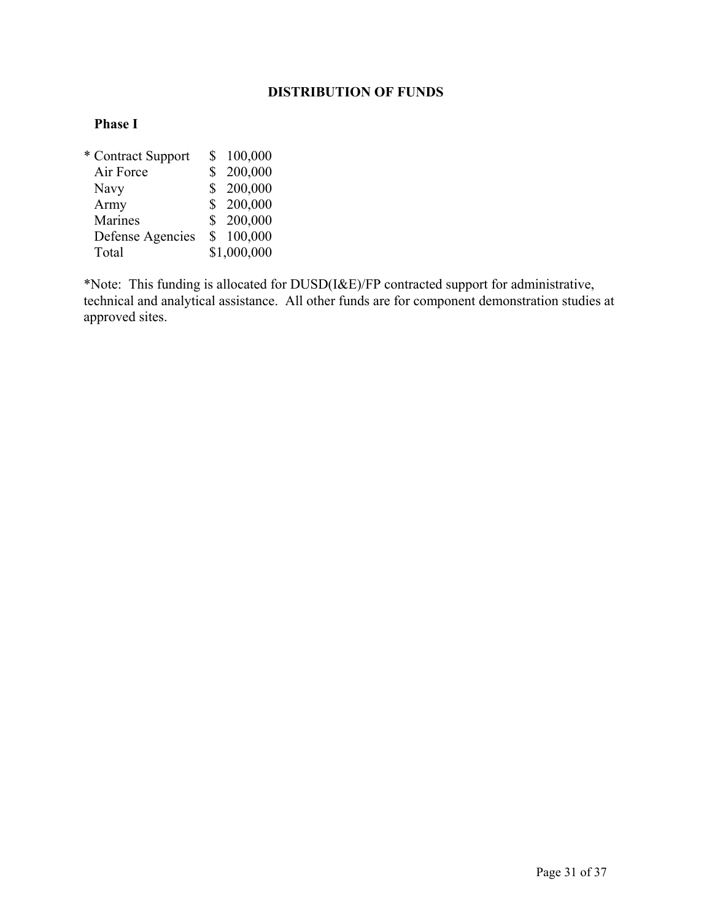# **DISTRIBUTION OF FUNDS**

### **Phase I**

| * Contract Support | S              | 100,000     |
|--------------------|----------------|-------------|
| Air Force          | \$             | 200,000     |
| <b>Navy</b>        | S              | 200,000     |
| Army               |                | \$200,000   |
| Marines            |                | \$200,000   |
| Defense Agencies   | $\mathbb{S}^-$ | 100,000     |
| Total              |                | \$1,000,000 |

\*Note: This funding is allocated for DUSD(I&E)/FP contracted support for administrative, technical and analytical assistance. All other funds are for component demonstration studies at approved sites.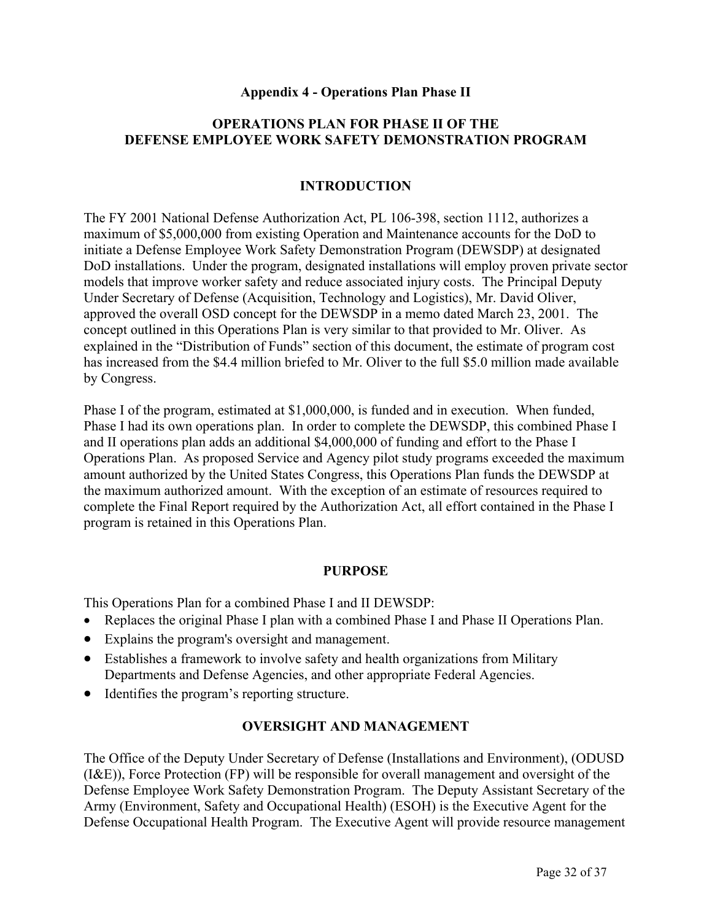#### **Appendix 4 - Operations Plan Phase II**

### **OPERATIONS PLAN FOR PHASE II OF THE DEFENSE EMPLOYEE WORK SAFETY DEMONSTRATION PROGRAM**

### **INTRODUCTION**

The FY 2001 National Defense Authorization Act, PL 106-398, section 1112, authorizes a maximum of \$5,000,000 from existing Operation and Maintenance accounts for the DoD to initiate a Defense Employee Work Safety Demonstration Program (DEWSDP) at designated DoD installations. Under the program, designated installations will employ proven private sector models that improve worker safety and reduce associated injury costs. The Principal Deputy Under Secretary of Defense (Acquisition, Technology and Logistics), Mr. David Oliver, approved the overall OSD concept for the DEWSDP in a memo dated March 23, 2001. The concept outlined in this Operations Plan is very similar to that provided to Mr. Oliver. As explained in the "Distribution of Funds" section of this document, the estimate of program cost has increased from the \$4.4 million briefed to Mr. Oliver to the full \$5.0 million made available by Congress.

Phase I of the program, estimated at \$1,000,000, is funded and in execution. When funded, Phase I had its own operations plan. In order to complete the DEWSDP, this combined Phase I and II operations plan adds an additional \$4,000,000 of funding and effort to the Phase I Operations Plan. As proposed Service and Agency pilot study programs exceeded the maximum amount authorized by the United States Congress, this Operations Plan funds the DEWSDP at the maximum authorized amount. With the exception of an estimate of resources required to complete the Final Report required by the Authorization Act, all effort contained in the Phase I program is retained in this Operations Plan.

#### **PURPOSE**

This Operations Plan for a combined Phase I and II DEWSDP:

- Replaces the original Phase I plan with a combined Phase I and Phase II Operations Plan.
- Explains the program's oversight and management.
- Establishes a framework to involve safety and health organizations from Military Departments and Defense Agencies, and other appropriate Federal Agencies.
- Identifies the program's reporting structure.

#### **OVERSIGHT AND MANAGEMENT**

The Office of the Deputy Under Secretary of Defense (Installations and Environment), (ODUSD (I&E)), Force Protection (FP) will be responsible for overall management and oversight of the Defense Employee Work Safety Demonstration Program. The Deputy Assistant Secretary of the Army (Environment, Safety and Occupational Health) (ESOH) is the Executive Agent for the Defense Occupational Health Program. The Executive Agent will provide resource management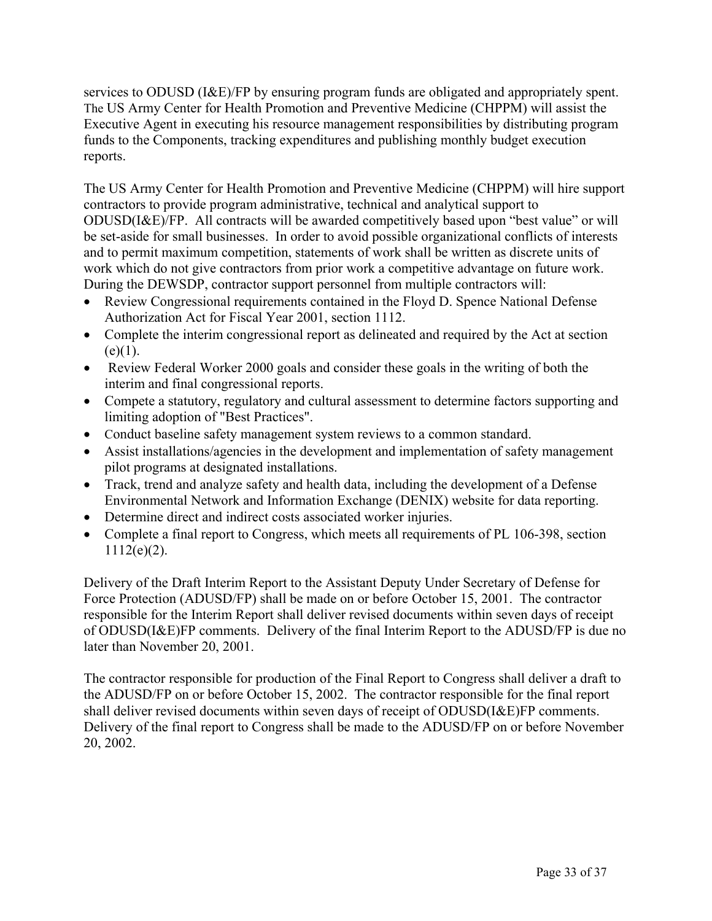services to ODUSD (I&E)/FP by ensuring program funds are obligated and appropriately spent. The US Army Center for Health Promotion and Preventive Medicine (CHPPM) will assist the Executive Agent in executing his resource management responsibilities by distributing program funds to the Components, tracking expenditures and publishing monthly budget execution reports.

The US Army Center for Health Promotion and Preventive Medicine (CHPPM) will hire support contractors to provide program administrative, technical and analytical support to ODUSD(I&E)/FP. All contracts will be awarded competitively based upon "best value" or will be set-aside for small businesses. In order to avoid possible organizational conflicts of interests and to permit maximum competition, statements of work shall be written as discrete units of work which do not give contractors from prior work a competitive advantage on future work. During the DEWSDP, contractor support personnel from multiple contractors will:

- Review Congressional requirements contained in the Floyd D. Spence National Defense Authorization Act for Fiscal Year 2001, section 1112.
- Complete the interim congressional report as delineated and required by the Act at section  $(e)(1)$ .
- Review Federal Worker 2000 goals and consider these goals in the writing of both the interim and final congressional reports.
- Compete a statutory, regulatory and cultural assessment to determine factors supporting and limiting adoption of "Best Practices".
- Conduct baseline safety management system reviews to a common standard.
- Assist installations/agencies in the development and implementation of safety management pilot programs at designated installations.
- Track, trend and analyze safety and health data, including the development of a Defense Environmental Network and Information Exchange (DENIX) website for data reporting.
- Determine direct and indirect costs associated worker injuries.
- Complete a final report to Congress, which meets all requirements of PL 106-398, section  $1112(e)(2)$ .

Delivery of the Draft Interim Report to the Assistant Deputy Under Secretary of Defense for Force Protection (ADUSD/FP) shall be made on or before October 15, 2001. The contractor responsible for the Interim Report shall deliver revised documents within seven days of receipt of ODUSD(I&E)FP comments. Delivery of the final Interim Report to the ADUSD/FP is due no later than November 20, 2001.

The contractor responsible for production of the Final Report to Congress shall deliver a draft to the ADUSD/FP on or before October 15, 2002. The contractor responsible for the final report shall deliver revised documents within seven days of receipt of ODUSD(I&E)FP comments. Delivery of the final report to Congress shall be made to the ADUSD/FP on or before November 20, 2002.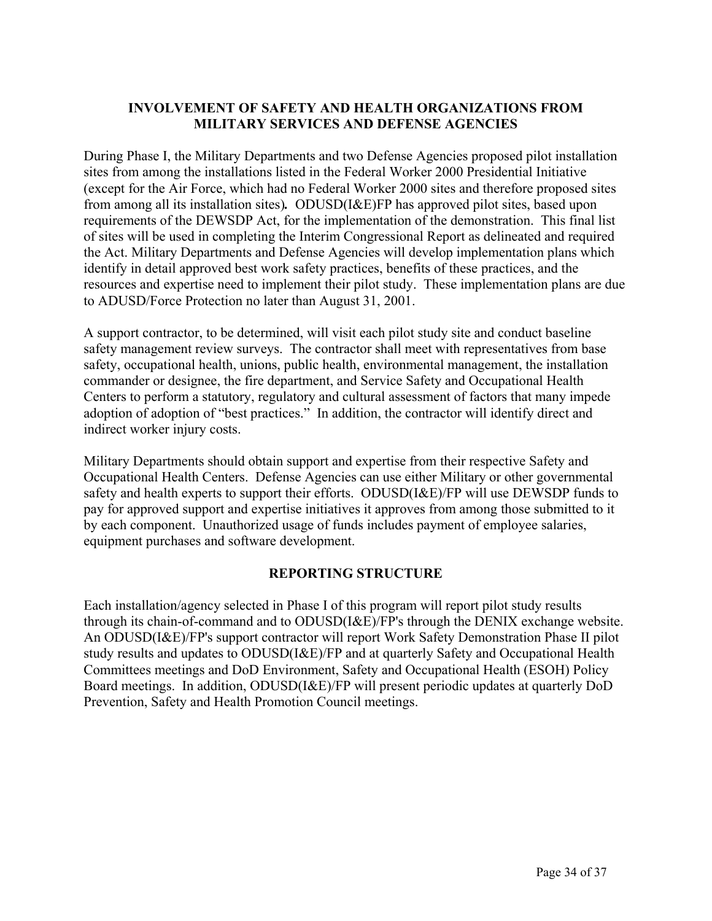## **INVOLVEMENT OF SAFETY AND HEALTH ORGANIZATIONS FROM MILITARY SERVICES AND DEFENSE AGENCIES**

During Phase I, the Military Departments and two Defense Agencies proposed pilot installation sites from among the installations listed in the Federal Worker 2000 Presidential Initiative (except for the Air Force, which had no Federal Worker 2000 sites and therefore proposed sites from among all its installation sites)*.* ODUSD(I&E)FP has approved pilot sites, based upon requirements of the DEWSDP Act, for the implementation of the demonstration. This final list of sites will be used in completing the Interim Congressional Report as delineated and required the Act. Military Departments and Defense Agencies will develop implementation plans which identify in detail approved best work safety practices, benefits of these practices, and the resources and expertise need to implement their pilot study. These implementation plans are due to ADUSD/Force Protection no later than August 31, 2001.

A support contractor, to be determined, will visit each pilot study site and conduct baseline safety management review surveys. The contractor shall meet with representatives from base safety, occupational health, unions, public health, environmental management, the installation commander or designee, the fire department, and Service Safety and Occupational Health Centers to perform a statutory, regulatory and cultural assessment of factors that many impede adoption of adoption of "best practices." In addition, the contractor will identify direct and indirect worker injury costs.

Military Departments should obtain support and expertise from their respective Safety and Occupational Health Centers. Defense Agencies can use either Military or other governmental safety and health experts to support their efforts. ODUSD(I&E)/FP will use DEWSDP funds to pay for approved support and expertise initiatives it approves from among those submitted to it by each component. Unauthorized usage of funds includes payment of employee salaries, equipment purchases and software development.

## **REPORTING STRUCTURE**

Each installation/agency selected in Phase I of this program will report pilot study results through its chain-of-command and to ODUSD(I&E)/FP's through the DENIX exchange website. An ODUSD(I&E)/FP's support contractor will report Work Safety Demonstration Phase II pilot study results and updates to ODUSD(I&E)/FP and at quarterly Safety and Occupational Health Committees meetings and DoD Environment, Safety and Occupational Health (ESOH) Policy Board meetings. In addition, ODUSD(I&E)/FP will present periodic updates at quarterly DoD Prevention, Safety and Health Promotion Council meetings.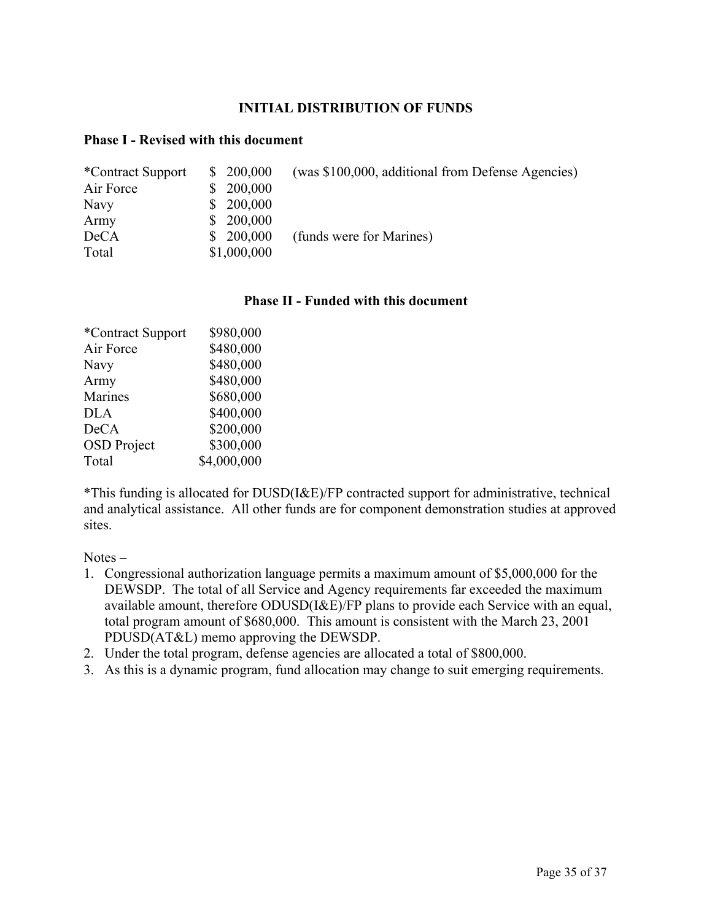#### **INITIAL DISTRIBUTION OF FUNDS**

#### **Phase I - Revised with this document**

| *Contract Support | \$200,000   | (was \$100,000, additional from Defense Agencies) |
|-------------------|-------------|---------------------------------------------------|
| Air Force         | \$200,000   |                                                   |
| Navy              | \$200,000   |                                                   |
| Army              | \$200,000   |                                                   |
| <b>DeCA</b>       | \$200,000   | (funds were for Marines)                          |
| Total             | \$1,000,000 |                                                   |

#### **Phase II - Funded with this document**

| *Contract Support  | \$980,000   |
|--------------------|-------------|
| Air Force          | \$480,000   |
| Navy               | \$480,000   |
| Army               | \$480,000   |
| Marines            | \$680,000   |
| <b>DLA</b>         | \$400,000   |
| <b>DeCA</b>        | \$200,000   |
| <b>OSD</b> Project | \$300,000   |
| Total              | \$4,000,000 |

\*This funding is allocated for DUSD(I&E)/FP contracted support for administrative, technical and analytical assistance. All other funds are for component demonstration studies at approved sites.

Notes –

- 1. Congressional authorization language permits a maximum amount of \$5,000,000 for the DEWSDP. The total of all Service and Agency requirements far exceeded the maximum available amount, therefore ODUSD(I&E)/FP plans to provide each Service with an equal, total program amount of \$680,000. This amount is consistent with the March 23, 2001 PDUSD(AT&L) memo approving the DEWSDP.
- 2. Under the total program, defense agencies are allocated a total of \$800,000.
- 3. As this is a dynamic program, fund allocation may change to suit emerging requirements.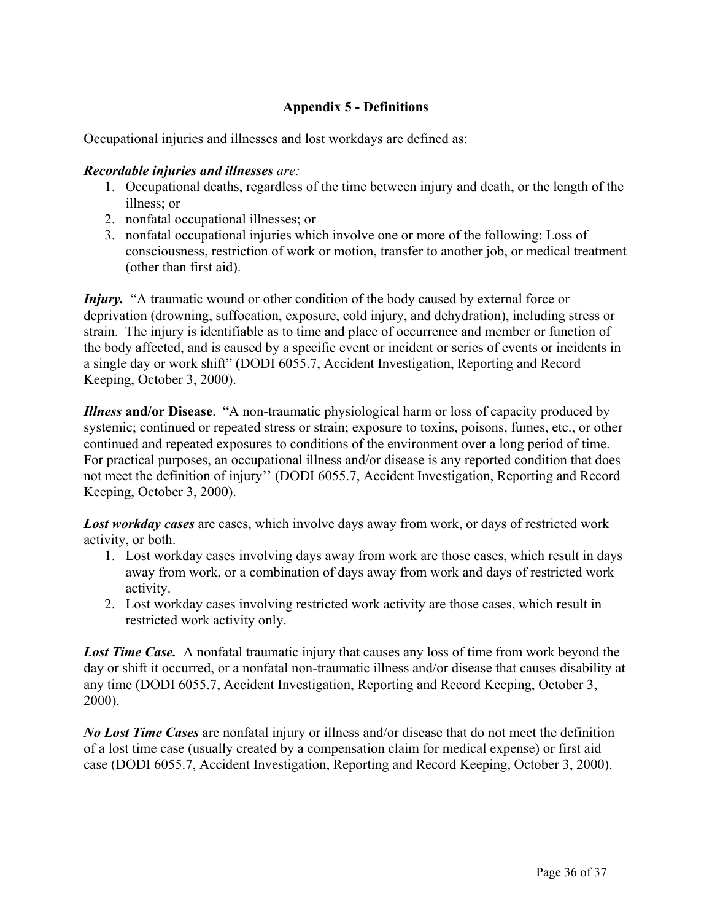## **Appendix 5 - Definitions**

Occupational injuries and illnesses and lost workdays are defined as:

### *Recordable injuries and illnesses are:*

- 1. Occupational deaths, regardless of the time between injury and death, or the length of the illness; or
- 2. nonfatal occupational illnesses; or
- 3. nonfatal occupational injuries which involve one or more of the following: Loss of consciousness, restriction of work or motion, transfer to another job, or medical treatment (other than first aid).

*Injury.* "A traumatic wound or other condition of the body caused by external force or deprivation (drowning, suffocation, exposure, cold injury, and dehydration), including stress or strain. The injury is identifiable as to time and place of occurrence and member or function of the body affected, and is caused by a specific event or incident or series of events or incidents in a single day or work shift" (DODI 6055.7, Accident Investigation, Reporting and Record Keeping, October 3, 2000).

*Illness* **and/or Disease**. "A non-traumatic physiological harm or loss of capacity produced by systemic; continued or repeated stress or strain; exposure to toxins, poisons, fumes, etc., or other continued and repeated exposures to conditions of the environment over a long period of time. For practical purposes, an occupational illness and/or disease is any reported condition that does not meet the definition of injury'' (DODI 6055.7, Accident Investigation, Reporting and Record Keeping, October 3, 2000).

*Lost workday cases* are cases, which involve days away from work, or days of restricted work activity, or both.

- 1. Lost workday cases involving days away from work are those cases, which result in days away from work, or a combination of days away from work and days of restricted work activity.
- 2. Lost workday cases involving restricted work activity are those cases, which result in restricted work activity only.

**Lost Time Case.** A nonfatal traumatic injury that causes any loss of time from work beyond the day or shift it occurred, or a nonfatal non-traumatic illness and/or disease that causes disability at any time (DODI 6055.7, Accident Investigation, Reporting and Record Keeping, October 3, 2000).

*No Lost Time Cases* are nonfatal injury or illness and/or disease that do not meet the definition of a lost time case (usually created by a compensation claim for medical expense) or first aid case (DODI 6055.7, Accident Investigation, Reporting and Record Keeping, October 3, 2000).